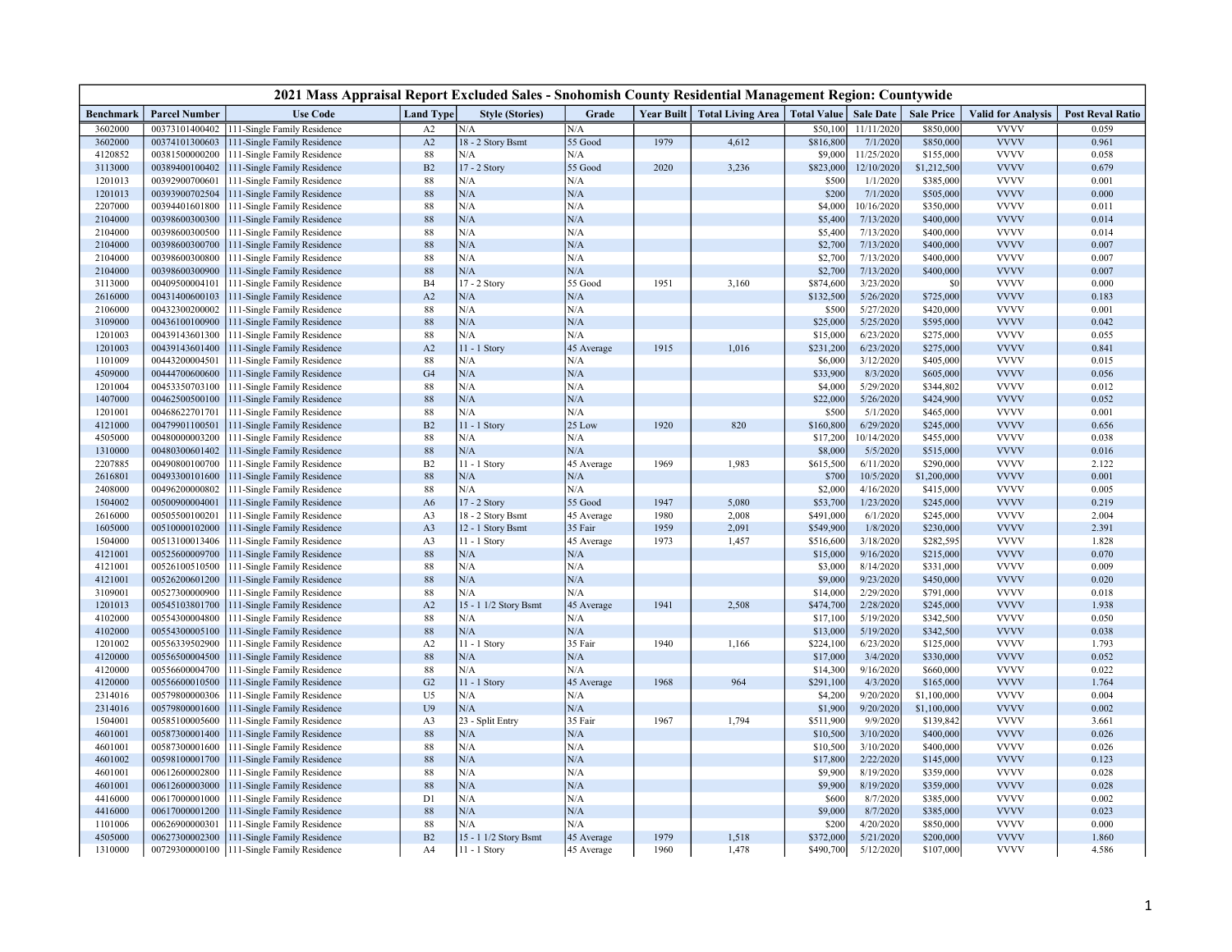|                    | 2021 Mass Appraisal Report Excluded Sales - Snohomish County Residential Management Region: Countywide |                                                            |                  |                        |                |      |                                                          |                       |                        |                        |                            |                         |  |
|--------------------|--------------------------------------------------------------------------------------------------------|------------------------------------------------------------|------------------|------------------------|----------------|------|----------------------------------------------------------|-----------------------|------------------------|------------------------|----------------------------|-------------------------|--|
| <b>Benchmark</b>   | <b>Parcel Number</b>                                                                                   | <b>Use Code</b>                                            | <b>Land Type</b> | <b>Style (Stories)</b> | Grade          |      | Year Built   Total Living Area   Total Value   Sale Date |                       |                        | <b>Sale Price</b>      | <b>Valid for Analysis</b>  | <b>Post Reval Ratio</b> |  |
| 3602000            | 00373101400402                                                                                         | 111-Single Family Residence                                | A2               | N/A                    | N/A            |      |                                                          | \$50,100              | 11/11/2020             | \$850,000              | <b>VVVV</b>                | 0.059                   |  |
| 3602000            | 00374101300603                                                                                         | 111-Single Family Residence                                | A2               | 18 - 2 Story Bsmt      | 55 Good        | 1979 | 4,612                                                    | \$816,800             | 7/1/2020               | \$850,000              | <b>VVVV</b>                | 0.961                   |  |
| 4120852            | 00381500000200                                                                                         | 111-Single Family Residence                                | $88\,$           | N/A                    | N/A            |      |                                                          | \$9,000               | 11/25/2020             | \$155,000              | <b>VVVV</b>                | 0.058                   |  |
| 3113000            | 00389400100402                                                                                         | 111-Single Family Residence                                | B2               | 17 - 2 Story           | 55 Good        | 2020 | 3,236                                                    | \$823,000             | 12/10/2020             | \$1,212,500            | <b>VVVV</b>                | 0.679                   |  |
| 1201013            | 00392900700601                                                                                         | 111-Single Family Residence                                | $88\,$           | N/A                    | N/A            |      |                                                          | \$500                 | 1/1/2020               | \$385,000              | <b>VVVV</b>                | 0.001                   |  |
| 1201013            | 00393900702504                                                                                         | 111-Single Family Residence                                | 88               | N/A                    | $\rm N/A$      |      |                                                          | \$200                 | 7/1/2020               | \$505,000              | <b>VVVV</b>                | 0.000                   |  |
| 2207000            | 00394401601800                                                                                         | 111-Single Family Residence                                | 88               | N/A                    | N/A            |      |                                                          | \$4,000               | 10/16/2020             | \$350,000              | <b>VVVV</b>                | 0.011                   |  |
| 2104000            | 00398600300300                                                                                         | 111-Single Family Residence                                | 88               | N/A                    | N/A            |      |                                                          | \$5,400               | 7/13/2020              | \$400,000              | <b>VVVV</b>                | 0.014                   |  |
| 2104000            | 00398600300500                                                                                         | 111-Single Family Residence                                | 88               | N/A                    | N/A            |      |                                                          | \$5,400               | 7/13/2020              | \$400,000              | <b>VVVV</b>                | 0.014                   |  |
| 2104000            | 00398600300700                                                                                         | 111-Single Family Residence                                | 88               | N/A<br>N/A             | N/A<br>N/A     |      |                                                          | \$2,700               | 7/13/2020              | \$400,000              | <b>VVVV</b><br><b>VVVV</b> | 0.007                   |  |
| 2104000<br>2104000 | 00398600300800<br>00398600300900                                                                       | 111-Single Family Residence<br>111-Single Family Residence | 88<br>88         | N/A                    | N/A            |      |                                                          | \$2,700<br>\$2,700    | 7/13/2020<br>7/13/2020 | \$400,000<br>\$400,000 | <b>VVVV</b>                | 0.007<br>0.007          |  |
| 3113000            | 00409500004101                                                                                         | 111-Single Family Residence                                | <b>B4</b>        | 17 - 2 Story           | 55 Good        | 1951 | 3,160                                                    | \$874,600             | 3/23/2020              | \$0                    | <b>VVVV</b>                | 0.000                   |  |
| 2616000            | 00431400600103                                                                                         | 111-Single Family Residence                                | A2               | N/A                    | N/A            |      |                                                          | \$132,500             | 5/26/2020              | \$725,000              | <b>VVVV</b>                | 0.183                   |  |
| 2106000            | 00432300200002                                                                                         | 111-Single Family Residence                                | 88               | N/A                    | N/A            |      |                                                          | \$500                 | 5/27/2020              | \$420,000              | <b>VVVV</b>                | 0.001                   |  |
| 3109000            | 00436100100900                                                                                         | 111-Single Family Residence                                | 88               | N/A                    | N/A            |      |                                                          | \$25,000              | 5/25/2020              | \$595,000              | <b>VVVV</b>                | 0.042                   |  |
| 1201003            | 00439143601300                                                                                         | 111-Single Family Residence                                | $88\,$           | N/A                    | N/A            |      |                                                          | \$15,000              | 6/23/2020              | \$275,000              | <b>VVVV</b>                | 0.055                   |  |
| 1201003            | 00439143601400                                                                                         | 111-Single Family Residence                                | A2               | $11 - 1$ Story         | 45 Average     | 1915 | 1,016                                                    | \$231,200             | 6/23/2020              | \$275,000              | <b>VVVV</b>                | 0.841                   |  |
| 1101009            | 00443200004501                                                                                         | 111-Single Family Residence                                | 88               | N/A                    | N/A            |      |                                                          | \$6,000               | 3/12/2020              | \$405,000              | <b>VVVV</b>                | 0.015                   |  |
| 4509000            | 00444700600600                                                                                         | 111-Single Family Residence                                | G <sub>4</sub>   | N/A                    | N/A            |      |                                                          | \$33,900              | 8/3/2020               | \$605,000              | <b>VVVV</b>                | 0.056                   |  |
| 1201004            | 00453350703100                                                                                         | 111-Single Family Residence                                | 88               | N/A                    | N/A            |      |                                                          | \$4,000               | 5/29/2020              | \$344,802              | <b>VVVV</b>                | 0.012                   |  |
| 1407000            | 00462500500100                                                                                         | 111-Single Family Residence                                | 88               | N/A                    | N/A            |      |                                                          | \$22,000              | 5/26/2020              | \$424,900              | <b>VVVV</b>                | 0.052                   |  |
| 1201001            | 00468622701701                                                                                         | 111-Single Family Residence                                | 88               | N/A                    | N/A            |      |                                                          | \$500                 | 5/1/2020               | \$465,000              | <b>VVVV</b>                | 0.001                   |  |
| 4121000            | 00479901100501                                                                                         | 111-Single Family Residence                                | B2               | $11 - 1$ Story         | 25 Low         | 1920 | 820                                                      | \$160,800             | 6/29/2020              | \$245,000              | <b>VVVV</b>                | 0.656                   |  |
| 4505000            | 00480000003200                                                                                         | 111-Single Family Residence                                | $88\,$           | N/A                    | N/A            |      |                                                          | \$17,200              | 10/14/2020             | \$455,000              | <b>VVVV</b>                | 0.038                   |  |
| 1310000            | 00480300601402                                                                                         | 111-Single Family Residence                                | 88               | N/A                    | N/A            |      |                                                          | \$8,000               | 5/5/2020               | \$515,000              | <b>VVVV</b>                | 0.016                   |  |
| 2207885            | 00490800100700                                                                                         | 111-Single Family Residence                                | B2               | 11 - 1 Story           | 45 Average     | 1969 | 1,983                                                    | \$615,500             | 6/11/2020              | \$290,000              | <b>VVVV</b>                | 2.122                   |  |
| 2616801            | 00493300101600                                                                                         | 111-Single Family Residence                                | 88               | N/A                    | N/A            |      |                                                          | \$700                 | 10/5/2020              | \$1,200,000            | <b>VVVV</b>                | 0.001                   |  |
| 2408000            | 00496200000802                                                                                         | 111-Single Family Residence                                | $88\,$           | N/A                    | N/A            |      |                                                          | \$2,000               | 4/16/2020              | \$415,000              | <b>VVVV</b>                | 0.005                   |  |
| 1504002            | 00500900004001                                                                                         | 111-Single Family Residence                                | A <sub>6</sub>   | 17 - 2 Story           | 55 Good        | 1947 | 5,080                                                    | \$53,700              | 1/23/2020              | \$245,000              | <b>VVVV</b>                | 0.219                   |  |
| 2616000            | 00505500100201                                                                                         | 111-Single Family Residence                                | A3               | 18 - 2 Story Bsmt      | 45 Average     | 1980 | 2,008                                                    | \$491,000             | 6/1/2020               | \$245,000              | <b>VVVV</b>                | 2.004                   |  |
| 1605000            | 00510000102000                                                                                         | 111-Single Family Residence                                | A <sub>3</sub>   | 12 - 1 Story Bsmt      | 35 Fair        | 1959 | 2,091                                                    | \$549,900             | 1/8/2020               | \$230,000              | <b>VVVV</b>                | 2.391                   |  |
| 1504000            | 00513100013406                                                                                         | 111-Single Family Residence                                | A3               | 11 - 1 Story           | 45 Average     | 1973 | 1,457                                                    | \$516,600             | 3/18/2020              | \$282,595              | <b>VVVV</b>                | 1.828                   |  |
| 4121001            | 00525600009700                                                                                         | 111-Single Family Residence                                | 88               | N/A                    | N/A            |      |                                                          | \$15,000              | 9/16/2020              | \$215,000              | <b>VVVV</b>                | 0.070                   |  |
| 4121001            | 00526100510500                                                                                         | 111-Single Family Residence                                | 88               | N/A                    | N/A            |      |                                                          | \$3,000               | 8/14/2020              | \$331,000              | <b>VVVV</b>                | 0.009                   |  |
| 4121001            | 00526200601200                                                                                         | 111-Single Family Residence                                | 88               | N/A                    | N/A            |      |                                                          | \$9,000               | 9/23/2020              | \$450,000              | <b>VVVV</b>                | 0.020                   |  |
| 3109001            | 00527300000900                                                                                         | 111-Single Family Residence                                | 88               | N/A                    | N/A            |      |                                                          | \$14,000              | 2/29/2020              | \$791,000              | <b>VVVV</b>                | 0.018                   |  |
| 1201013            | 00545103801700                                                                                         | 111-Single Family Residence                                | A2               | 15 - 1 1/2 Story Bsmt  | 45 Average     | 1941 | 2,508                                                    | \$474,700             | 2/28/2020              | \$245,000              | <b>VVVV</b>                | 1.938                   |  |
| 4102000            | 00554300004800                                                                                         | 111-Single Family Residence                                | $88\,$           | N/A                    | N/A            |      |                                                          | \$17,100              | 5/19/2020              | \$342,500              | <b>VVVV</b>                | 0.050                   |  |
| 4102000            | 00554300005100                                                                                         | 111-Single Family Residence                                | 88               | N/A                    | N/A            | 1940 |                                                          | \$13,000              | 5/19/2020              | \$342,500              | <b>VVVV</b><br><b>VVVV</b> | 0.038                   |  |
| 1201002<br>4120000 | 00556339502900<br>00556500004500                                                                       | 111-Single Family Residence<br>111-Single Family Residence | A2<br>88         | 11 - 1 Story<br>N/A    | 35 Fair<br>N/A |      | 1,166                                                    | \$224,100<br>\$17,000 | 6/23/2020<br>3/4/2020  | \$125,000<br>\$330,000 | <b>VVVV</b>                | 1.793<br>0.052          |  |
| 4120000            | 00556600004700                                                                                         | 111-Single Family Residence                                | $88\,$           | N/A                    | N/A            |      |                                                          | \$14,300              | 9/16/2020              | \$660,000              | <b>VVVV</b>                | 0.022                   |  |
| 4120000            | 00556600010500                                                                                         | 111-Single Family Residence                                | G <sub>2</sub>   | 11 - 1 Story           | 45 Average     | 1968 | 964                                                      | \$291,100             | 4/3/2020               | \$165,000              | <b>VVVV</b>                | 1.764                   |  |
| 2314016            | 00579800000306                                                                                         | 111-Single Family Residence                                | U <sub>5</sub>   | N/A                    | N/A            |      |                                                          | \$4,200               | 9/20/2020              | \$1,100,000            | <b>VVVV</b>                | 0.004                   |  |
| 2314016            | 00579800001600                                                                                         | 111-Single Family Residence                                | U <sub>9</sub>   | N/A                    | N/A            |      |                                                          | \$1,900               | 9/20/2020              | \$1,100,000            | <b>VVVV</b>                | 0.002                   |  |
| 1504001            | 00585100005600                                                                                         | 111-Single Family Residence                                | A3               | 23 - Split Entry       | 35 Fair        | 1967 | 1,794                                                    | \$511,900             | 9/9/2020               | \$139,842              | <b>VVVV</b>                | 3.661                   |  |
| 4601001            | 00587300001400                                                                                         | 111-Single Family Residence                                | 88               | N/A                    | N/A            |      |                                                          | \$10,500              | 3/10/2020              | \$400,000              | <b>VVVV</b>                | 0.026                   |  |
| 4601001            | 00587300001600                                                                                         | 111-Single Family Residence                                | 88               | N/A                    | $\rm N/A$      |      |                                                          | \$10,500              | 3/10/2020              | \$400,000              | <b>VVVV</b>                | 0.026                   |  |
| 4601002            | 00598100001700                                                                                         | 111-Single Family Residence                                | 88               | N/A                    | N/A            |      |                                                          | \$17,800              | 2/22/2020              | \$145,000              | <b>VVVV</b>                | 0.123                   |  |
| 4601001            | 00612600002800                                                                                         | 111-Single Family Residence                                | 88               | N/A                    | N/A            |      |                                                          | \$9,900               | 8/19/2020              | \$359,000              | <b>VVVV</b>                | 0.028                   |  |
| 4601001            | 00612600003000                                                                                         | 111-Single Family Residence                                | 88               | N/A                    | N/A            |      |                                                          | \$9,900               | 8/19/2020              | \$359,000              | <b>VVVV</b>                | 0.028                   |  |
| 4416000            | 00617000001000                                                                                         | 111-Single Family Residence                                | D1               | N/A                    | $\rm N/A$      |      |                                                          | \$600                 | 8/7/2020               | \$385,000              | <b>VVVV</b>                | 0.002                   |  |
| 4416000            | 00617000001200                                                                                         | 111-Single Family Residence                                | 88               | N/A                    | N/A            |      |                                                          | \$9,000               | 8/7/2020               | \$385,000              | <b>VVVV</b>                | 0.023                   |  |
| 1101006            | 00626900000301                                                                                         | 111-Single Family Residence                                | 88               | N/A                    | N/A            |      |                                                          | \$200                 | 4/20/2020              | \$850,000              | <b>VVVV</b>                | 0.000                   |  |
| 4505000            | 00627300002300                                                                                         | 111-Single Family Residence                                | B <sub>2</sub>   | 15 - 1 1/2 Story Bsmt  | 45 Average     | 1979 | 1,518                                                    | \$372,000             | 5/21/2020              | \$200,000              | <b>VVVV</b>                | 1.860                   |  |
| 1310000            | 00729300000100                                                                                         | 111-Single Family Residence                                | A4               | 11 - 1 Story           | 45 Average     | 1960 | 1,478                                                    | \$490,700             | 5/12/2020              | \$107,000              | <b>VVVV</b>                | 4.586                   |  |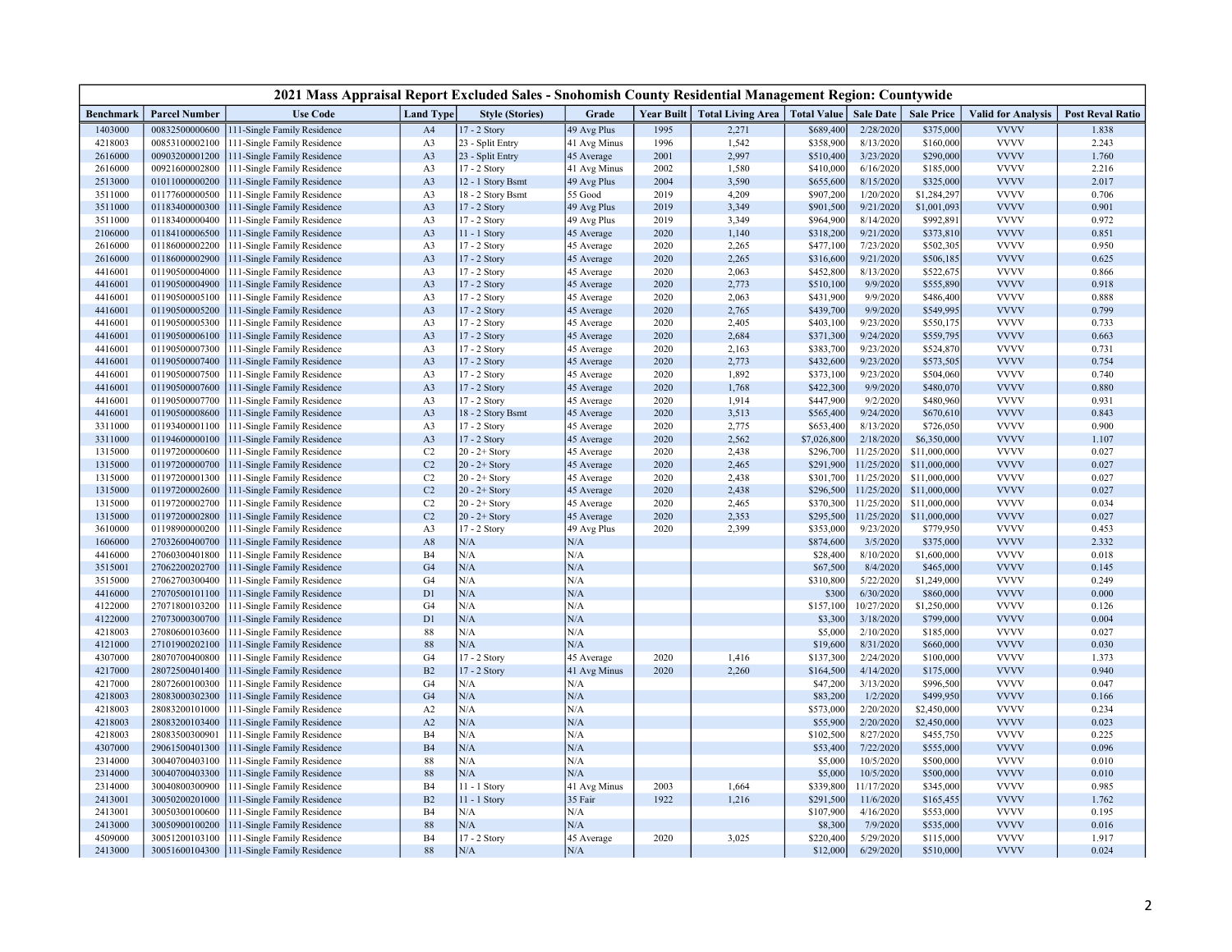| 2021 Mass Appraisal Report Excluded Sales - Snohomish County Residential Management Region: Countywide |                                  |                                                            |                      |                        |                     |      |                                              |                      |                         |                          |                            |                         |
|--------------------------------------------------------------------------------------------------------|----------------------------------|------------------------------------------------------------|----------------------|------------------------|---------------------|------|----------------------------------------------|----------------------|-------------------------|--------------------------|----------------------------|-------------------------|
| Benchmark                                                                                              | <b>Parcel Number</b>             | <b>Use Code</b>                                            | <b>Land Type</b>     | <b>Style (Stories)</b> | Grade               |      | Year Built   Total Living Area   Total Value |                      | <b>Sale Date</b>        | <b>Sale Price</b>        | <b>Valid for Analysis</b>  | <b>Post Reval Ratio</b> |
| 1403000                                                                                                | 00832500000600                   | 11-Single Family Residence                                 | A <sub>4</sub>       | 17 - 2 Story           | 49 Avg Plus         | 1995 | 2,271                                        | \$689,400            | 2/28/2020               | \$375,000                | <b>VVVV</b>                | 1.838                   |
| 4218003                                                                                                | 00853100002100                   | 111-Single Family Residence                                | A3                   | 23 - Split Entry       | 41 Avg Minus        | 1996 | 1,542                                        | \$358,900            | 8/13/2020               | \$160,000                | <b>VVVV</b>                | 2.243                   |
| 2616000                                                                                                | 00903200001200                   | 111-Single Family Residence                                | A <sub>3</sub>       | 23 - Split Entry       | 45 Average          | 2001 | 2,997                                        | \$510,400            | 3/23/2020               | \$290,000                | <b>VVVV</b>                | 1.760                   |
| 2616000                                                                                                | 00921600002800                   | 111-Single Family Residence                                | A3                   | 17 - 2 Story           | 41 Avg Minus        | 2002 | 1,580                                        | \$410,000            | 6/16/2020               | \$185,000                | <b>VVVV</b>                | 2.216                   |
| 2513000                                                                                                | 01011000000200                   | 111-Single Family Residence                                | A <sub>3</sub>       | 12 - 1 Story Bsmt      | 49 Avg Plus         | 2004 | 3,590                                        | \$655,600            | 8/15/2020               | \$325,000                | <b>VVVV</b>                | 2.017                   |
| 3511000                                                                                                | 01177600000500                   | 111-Single Family Residence                                | A3                   | 18 - 2 Story Bsmt      | $55\;\mathrm{Good}$ | 2019 | 4,209                                        | \$907,200            | 1/20/2020               | \$1,284,297              | <b>VVVV</b>                | 0.706                   |
| 3511000                                                                                                | 01183400000300                   | 111-Single Family Residence                                | A <sub>3</sub>       | 17 - 2 Story           | 49 Avg Plus         | 2019 | 3,349                                        | \$901,500            | 9/21/2020               | \$1,001,093              | <b>VVVV</b>                | 0.901                   |
| 3511000                                                                                                | 01183400000400                   | 111-Single Family Residence                                | A3                   | 17 - 2 Story           | 49 Avg Plus         | 2019 | 3,349                                        | \$964,900            | 8/14/2020               | \$992,891                | <b>VVVV</b>                | 0.972                   |
| 2106000                                                                                                | 01184100006500                   | 111-Single Family Residence                                | A <sub>3</sub>       | 11 - 1 Story           | 45 Average          | 2020 | 1,140                                        | \$318,200            | 9/21/2020               | \$373,810                | <b>VVVV</b>                | 0.851                   |
| 2616000                                                                                                | 01186000002200                   | 111-Single Family Residence                                | A3                   | 17 - 2 Story           | 45 Average          | 2020 | 2,265                                        | \$477,100            | 7/23/2020               | \$502,305                | <b>VVVV</b>                | 0.950                   |
| 2616000                                                                                                | 01186000002900                   | 111-Single Family Residence                                | A <sub>3</sub>       | 17 - 2 Story           | 45 Average          | 2020 | 2,265                                        | \$316,600            | 9/21/2020               | \$506,185                | <b>VVVV</b>                | 0.625                   |
| 4416001                                                                                                | 01190500004000                   | 111-Single Family Residence                                | A3                   | 17 - 2 Story           | 45 Average          | 2020 | 2,063                                        | \$452,800            | 8/13/2020               | \$522,675                | <b>VVVV</b>                | 0.866                   |
| 4416001                                                                                                | 01190500004900                   | 111-Single Family Residence                                | A <sub>3</sub>       | 17 - 2 Story           | 45 Average          | 2020 | 2,773                                        | \$510,100            | 9/9/2020                | \$555,890                | <b>VVVV</b>                | 0.918                   |
| 4416001                                                                                                | 01190500005100                   | 111-Single Family Residence                                | A <sub>3</sub>       | 17 - 2 Story           | 45 Average          | 2020 | 2,063                                        | \$431,900            | 9/9/2020                | \$486,400                | <b>VVVV</b>                | 0.888                   |
| 4416001                                                                                                | 01190500005200                   | 111-Single Family Residence                                | A <sub>3</sub>       | 17 - 2 Story           | 45 Average          | 2020 | 2,765                                        | \$439,700            | 9/9/2020                | \$549,995                | <b>VVVV</b>                | 0.799                   |
| 4416001                                                                                                | 01190500005300                   | 111-Single Family Residence                                | A3                   | 17 - 2 Story           | 45 Average          | 2020 | 2,405                                        | \$403,100            | 9/23/2020               | \$550,175                | <b>VVVV</b>                | 0.733                   |
| 4416001                                                                                                | 01190500006100                   | 111-Single Family Residence                                | A <sub>3</sub>       | 17 - 2 Story           | 45 Average          | 2020 | 2,684                                        | \$371,300            | 9/24/2020               | \$559,795                | <b>VVVV</b>                | 0.663                   |
| 4416001                                                                                                | 01190500007300                   | 111-Single Family Residence                                | A3                   | 17 - 2 Story           | 45 Average          | 2020 | 2,163                                        | \$383,700            | 9/23/2020               | \$524,870                | <b>VVVV</b>                | 0.731                   |
| 4416001                                                                                                | 01190500007400                   | 111-Single Family Residence                                | A <sub>3</sub>       | 17 - 2 Story           | 45 Average          | 2020 | 2,773                                        | \$432,600            | 9/23/2020               | \$573,505                | <b>VVVV</b>                | 0.754                   |
| 4416001                                                                                                | 01190500007500                   | 111-Single Family Residence                                | A3                   | 17 - 2 Story           | 45 Average          | 2020 | 1,892                                        | \$373,100            | 9/23/2020               | \$504,060                | <b>VVVV</b>                | 0.740                   |
| 4416001                                                                                                | 01190500007600                   | 111-Single Family Residence                                | A <sub>3</sub>       | 17 - 2 Story           | 45 Average          | 2020 | 1,768                                        | \$422,300            | 9/9/2020                | \$480,070                | <b>VVVV</b>                | 0.880                   |
| 4416001                                                                                                | 01190500007700                   | 111-Single Family Residence                                | A3                   | 17 - 2 Story           | 45 Average          | 2020 | 1,914                                        | \$447,900            | 9/2/2020                | \$480,960                | <b>VVVV</b>                | 0.931                   |
| 4416001                                                                                                | 01190500008600                   | 111-Single Family Residence                                | A <sub>3</sub>       | 18 - 2 Story Bsmt      | 45 Average          | 2020 | 3,513                                        | \$565,400            | 9/24/2020               | \$670,610                | <b>VVVV</b>                | 0.843                   |
| 3311000                                                                                                | 01193400001100                   | 111-Single Family Residence                                | A3                   | 17 - 2 Story           | 45 Average          | 2020 | 2,775                                        | \$653,400            | 8/13/2020               | \$726,050                | <b>VVVV</b>                | 0.900                   |
| 3311000                                                                                                | 01194600000100                   | 111-Single Family Residence                                | A <sub>3</sub>       | 17 - 2 Story           | 45 Average          | 2020 | 2,562                                        | \$7,026,800          | 2/18/2020               | \$6,350,000              | <b>VVVV</b>                | 1.107                   |
| 1315000                                                                                                | 01197200000600                   | 111-Single Family Residence                                | C <sub>2</sub>       | $20 - 2 +$ Story       | 45 Average          | 2020 | 2,438                                        | \$296,700            | 11/25/2020              | \$11,000,000             | <b>VVVV</b>                | 0.027                   |
| 1315000                                                                                                | 01197200000700                   | 111-Single Family Residence                                | C <sub>2</sub>       | $20 - 2 +$ Story       | 45 Average          | 2020 | 2,465                                        | \$291,900            | 11/25/2020              | \$11,000,000             | <b>VVVV</b>                | 0.027                   |
| 1315000                                                                                                | 01197200001300                   | 111-Single Family Residence                                | C <sub>2</sub>       | $20 - 2 +$ Story       | 45 Average          | 2020 | 2,438                                        | \$301,700            | 11/25/2020              | \$11,000,000             | <b>VVVV</b>                | 0.027                   |
| 1315000                                                                                                | 01197200002600                   | 111-Single Family Residence                                | C <sub>2</sub>       | $20 - 2 +$ Story       | 45 Average          | 2020 | 2,438                                        | \$296,500            | 11/25/2020              | \$11,000,000             | <b>VVVV</b>                | 0.027                   |
| 1315000                                                                                                | 01197200002700                   | 111-Single Family Residence                                | C2                   | $20 - 2 +$ Story       | 45 Average          | 2020 | 2,465                                        | \$370,300            | 11/25/2020              | \$11,000,000             | <b>VVVV</b>                | 0.034                   |
| 1315000                                                                                                | 01197200002800                   | 111-Single Family Residence                                | C <sub>2</sub>       | $20 - 2 +$ Story       | 45 Average          | 2020 | 2,353                                        | \$295,500            | 11/25/2020              | \$11,000,000             | <b>VVVV</b>                | 0.027                   |
| 3610000                                                                                                | 01198900000200                   | 111-Single Family Residence                                | A3                   | 17 - 2 Story           | 49 Avg Plus         | 2020 | 2,399                                        | \$353,000            | 9/23/2020               | \$779,950                | <b>VVVV</b>                | 0.453                   |
| 1606000                                                                                                | 27032600400700                   | 111-Single Family Residence                                | $\mathbf{A8}$        | N/A                    | N/A                 |      |                                              | \$874,600            | 3/5/2020                | \$375,000                | <b>VVVV</b><br><b>VVVV</b> | 2.332                   |
| 4416000                                                                                                | 27060300401800                   | 111-Single Family Residence                                | B <sub>4</sub>       | N/A                    | N/A                 |      |                                              | \$28,400             | 8/10/2020               | \$1,600,000              |                            | 0.018                   |
| 3515001                                                                                                | 27062200202700                   | 111-Single Family Residence                                | G <sub>4</sub>       | N/A<br>N/A             | N/A<br>N/A          |      |                                              | \$67,500             | 8/4/2020                | \$465,000                | <b>VVVV</b><br><b>VVVV</b> | 0.145                   |
| 3515000                                                                                                | 27062700300400<br>27070500101100 | 111-Single Family Residence                                | G <sub>4</sub>       | N/A                    | N/A                 |      |                                              | \$310,800            | 5/22/2020               | \$1,249,000<br>\$860,000 | <b>VVVV</b>                | 0.249<br>0.000          |
| 4416000                                                                                                |                                  | 111-Single Family Residence                                | D1                   | N/A                    | N/A                 |      |                                              | \$300                | 6/30/2020<br>10/27/2020 | \$1,250,000              | <b>VVVV</b>                |                         |
| 4122000<br>4122000                                                                                     | 27071800103200<br>27073000300700 | 111-Single Family Residence<br>111-Single Family Residence | G <sub>4</sub><br>D1 | N/A                    | N/A                 |      |                                              | \$157,100<br>\$3,300 | 3/18/2020               | \$799,000                | <b>VVVV</b>                | 0.126<br>0.004          |
| 4218003                                                                                                | 27080600103600                   | 111-Single Family Residence                                | 88                   | N/A                    | N/A                 |      |                                              | \$5,000              | 2/10/2020               | \$185,000                | <b>VVVV</b>                | 0.027                   |
| 4121000                                                                                                | 27101900202100                   | 111-Single Family Residence                                | 88                   | N/A                    | N/A                 |      |                                              | \$19,600             | 8/31/2020               | \$660,000                | <b>VVVV</b>                | 0.030                   |
| 4307000                                                                                                | 28070700400800                   | 111-Single Family Residence                                | G <sub>4</sub>       | 17 - 2 Story           | 45 Average          | 2020 | 1,416                                        | \$137,300            | 2/24/2020               | \$100,000                | <b>VVVV</b>                | 1.373                   |
| 4217000                                                                                                | 28072500401400                   | 111-Single Family Residence                                | B2                   | 17 - 2 Story           | 41 Avg Minus        | 2020 | 2,260                                        | \$164,500            | 4/14/2020               | \$175,000                | <b>VVVV</b>                | 0.940                   |
| 4217000                                                                                                | 28072600100300                   | 111-Single Family Residence                                | G <sub>4</sub>       | N/A                    | N/A                 |      |                                              | \$47,200             | 3/13/2020               | \$996,500                | <b>VVVV</b>                | 0.047                   |
| 4218003                                                                                                | 28083000302300                   | 111-Single Family Residence                                | G <sub>4</sub>       | N/A                    | N/A                 |      |                                              | \$83,200             | 1/2/2020                | \$499,950                | <b>VVVV</b>                | 0.166                   |
| 4218003                                                                                                | 28083200101000                   | 111-Single Family Residence                                | A2                   | N/A                    | N/A                 |      |                                              | \$573,000            | 2/20/2020               | \$2,450,000              | <b>VVVV</b>                | 0.234                   |
| 4218003                                                                                                | 28083200103400                   | 111-Single Family Residence                                | A2                   | N/A                    | N/A                 |      |                                              | \$55,900             | 2/20/2020               | \$2,450,000              | <b>VVVV</b>                | 0.023                   |
| 4218003                                                                                                | 28083500300901                   | 111-Single Family Residence                                | <b>B4</b>            | N/A                    | N/A                 |      |                                              | \$102,500            | 8/27/2020               | \$455,750                | <b>VVVV</b>                | 0.225                   |
| 4307000                                                                                                | 29061500401300                   | 111-Single Family Residence                                | <b>B4</b>            | N/A                    | N/A                 |      |                                              | \$53,400             | 7/22/2020               | \$555,000                | <b>VVVV</b>                | 0.096                   |
| 2314000                                                                                                | 30040700403100                   | 111-Single Family Residence                                | $88\,$               | N/A                    | N/A                 |      |                                              | \$5,000              | 10/5/2020               | \$500,000                | <b>VVVV</b>                | 0.010                   |
| 2314000                                                                                                | 30040700403300                   | 111-Single Family Residence                                | $\bf 88$             | N/A                    | N/A                 |      |                                              | \$5,000              | 10/5/2020               | \$500,000                | <b>VVVV</b>                | 0.010                   |
| 2314000                                                                                                | 30040800300900                   | 111-Single Family Residence                                | <b>B4</b>            | 11 - 1 Story           | 41 Avg Minus        | 2003 | 1,664                                        | \$339,800            | 11/17/2020              | \$345,000                | <b>VVVV</b>                | 0.985                   |
| 2413001                                                                                                | 30050200201000                   | 111-Single Family Residence                                | B2                   | 11 - 1 Story           | 35 Fair             | 1922 | 1,216                                        | \$291,500            | 11/6/2020               | \$165,455                | <b>VVVV</b>                | 1.762                   |
| 2413001                                                                                                | 30050300100600                   | 111-Single Family Residence                                | B <sub>4</sub>       | N/A                    | N/A                 |      |                                              | \$107,900            | 4/16/2020               | \$553,000                | <b>VVVV</b>                | 0.195                   |
| 2413000                                                                                                | 30050900100200                   | 111-Single Family Residence                                | $\bf 88$             | N/A                    | N/A                 |      |                                              | \$8,300              | 7/9/2020                | \$535,000                | <b>VVVV</b>                | 0.016                   |
| 4509000                                                                                                | 30051200103100                   | 111-Single Family Residence                                | B <sub>4</sub>       | 17 - 2 Story           | 45 Average          | 2020 | 3,025                                        | \$220,400            | 5/29/2020               | \$115,000                | <b>VVVV</b>                | 1.917                   |
| 2413000                                                                                                | 30051600104300                   | 111-Single Family Residence                                | 88                   | $\rm N/A$              | N/A                 |      |                                              | \$12,000             | 6/29/2020               | \$510,000                | <b>VVVV</b>                | 0.024                   |
|                                                                                                        |                                  |                                                            |                      |                        |                     |      |                                              |                      |                         |                          |                            |                         |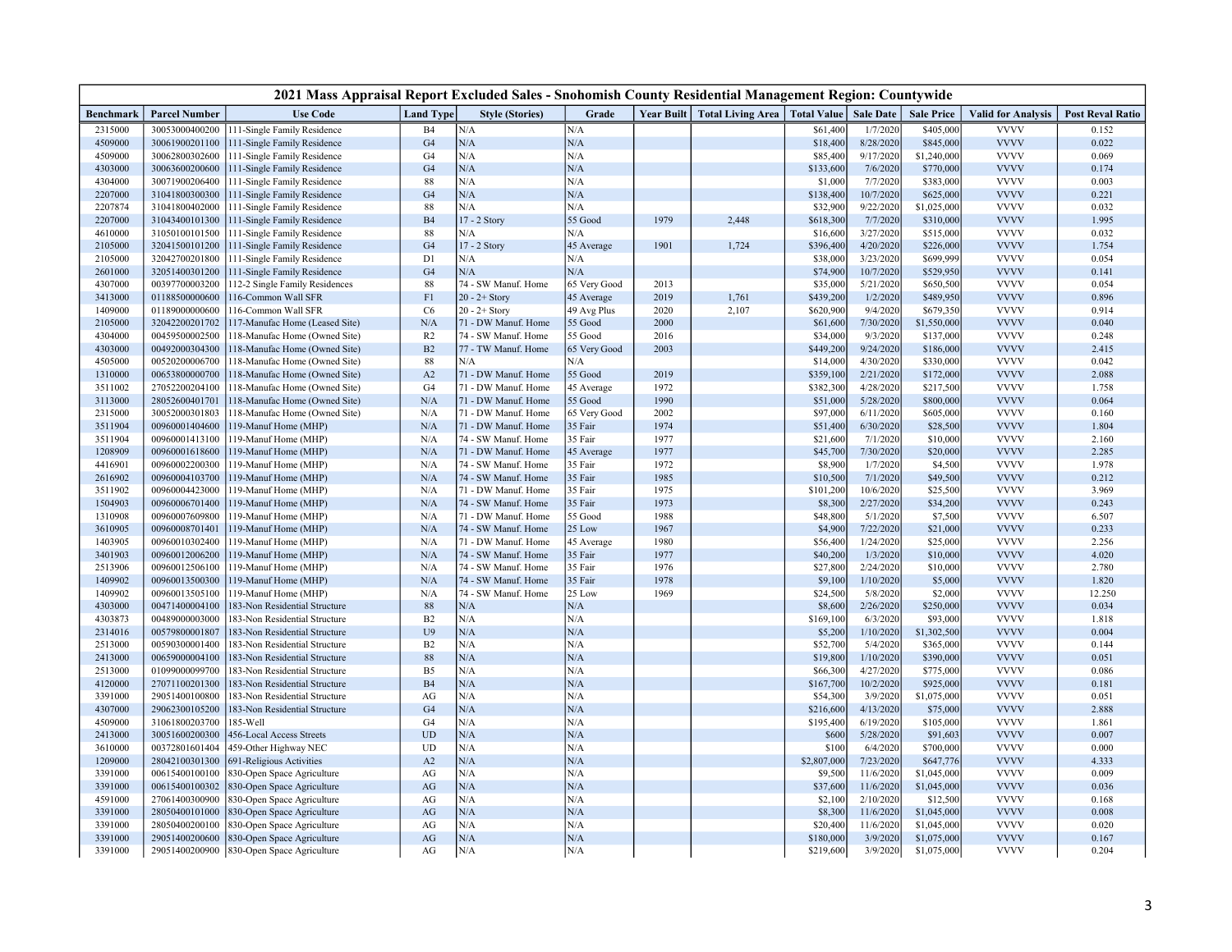| 2021 Mass Appraisal Report Excluded Sales - Snohomish County Residential Management Region: Countywide |                                  |                                                   |                  |                        |              |      |                                                          |             |                       |                            |                           |                         |
|--------------------------------------------------------------------------------------------------------|----------------------------------|---------------------------------------------------|------------------|------------------------|--------------|------|----------------------------------------------------------|-------------|-----------------------|----------------------------|---------------------------|-------------------------|
| Benchmark                                                                                              | <b>Parcel Number</b>             | <b>Use Code</b>                                   | <b>Land Type</b> | <b>Style (Stories)</b> | Grade        |      | Year Built   Total Living Area   Total Value   Sale Date |             |                       | <b>Sale Price</b>          | <b>Valid for Analysis</b> | <b>Post Reval Ratio</b> |
| 2315000                                                                                                | 30053000400200                   | 111-Single Family Residence                       | B <sub>4</sub>   | N/A                    | N/A          |      |                                                          | \$61,400    | 1/7/2020              | \$405,000                  | <b>VVVV</b>               | 0.152                   |
| 4509000                                                                                                | 30061900201100                   | 111-Single Family Residence                       | G4               | N/A                    | N/A          |      |                                                          | \$18,400    | 8/28/2020             | \$845,000                  | <b>VVVV</b>               | 0.022                   |
| 4509000                                                                                                | 30062800302600                   | 111-Single Family Residence                       | G <sub>4</sub>   | N/A                    | N/A          |      |                                                          | \$85,400    | 9/17/2020             | \$1,240,000                | <b>VVVV</b>               | 0.069                   |
| 4303000                                                                                                | 30063600200600                   | 111-Single Family Residence                       | G4               | N/A                    | N/A          |      |                                                          | \$133,600   | 7/6/2020              | \$770,000                  | <b>VVVV</b>               | 0.174                   |
| 4304000                                                                                                | 30071900206400                   | 111-Single Family Residence                       | 88               | N/A                    | N/A          |      |                                                          | \$1,000     | 7/7/2020              | \$383,000                  | <b>VVVV</b>               | 0.003                   |
| 2207000                                                                                                | 31041800300300                   | 111-Single Family Residence                       | G <sub>4</sub>   | N/A                    | N/A          |      |                                                          | \$138,400   | 10/7/2020             | \$625,000                  | <b>VVVV</b>               | 0.221                   |
| 2207874                                                                                                | 31041800402000                   | 111-Single Family Residence                       | 88               | N/A                    | N/A          |      |                                                          | \$32,900    | 9/22/2020             | \$1,025,000                | <b>VVVV</b>               | 0.032                   |
| 2207000                                                                                                | 31043400101300                   | 111-Single Family Residence                       | B <sub>4</sub>   | 17 - 2 Story           | 55 Good      | 1979 | 2,448                                                    | \$618,300   | 7/7/2020              | \$310,000                  | <b>VVVV</b>               | 1.995                   |
| 4610000                                                                                                | 31050100101500                   | 111-Single Family Residence                       | 88               | N/A                    | N/A          |      |                                                          | \$16,600    | 3/27/2020             | \$515,000                  | <b>VVVV</b>               | 0.032                   |
| 2105000                                                                                                | 32041500101200                   | 111-Single Family Residence                       | G <sub>4</sub>   | 17 - 2 Story           | 45 Average   | 1901 | 1,724                                                    | \$396,400   | 4/20/2020             | \$226,000                  | <b>VVVV</b>               | 1.754                   |
| 2105000                                                                                                | 32042700201800                   | 111-Single Family Residence                       | D1               | N/A                    | N/A          |      |                                                          | \$38,000    | 3/23/2020             | \$699,999                  | <b>VVVV</b>               | 0.054                   |
| 2601000                                                                                                | 32051400301200                   | 111-Single Family Residence                       | G <sub>4</sub>   | N/A                    | N/A          |      |                                                          | \$74,900    | 10/7/2020             | \$529,950                  | <b>VVVV</b>               | 0.141                   |
| 4307000                                                                                                | 00397700003200                   | 112-2 Single Family Residences                    | 88               | 74 - SW Manuf. Home    | 65 Very Good | 2013 |                                                          | \$35,000    | 5/21/2020             | \$650,500                  | <b>VVVV</b>               | 0.054                   |
| 3413000                                                                                                | 01188500000600                   | 116-Common Wall SFR                               | F1               | $20 - 2 +$ Story       | 45 Average   | 2019 | 1,761                                                    | \$439,200   | 1/2/2020              | \$489,950                  | <b>VVVV</b>               | 0.896                   |
| 1409000                                                                                                | 01189000000600                   | 116-Common Wall SFR                               | C6               | $20 - 2 +$ Story       | 49 Avg Plus  | 2020 | 2,107                                                    | \$620,900   | 9/4/2020              | \$679,350                  | <b>VVVV</b>               | 0.914                   |
| 2105000                                                                                                | 32042200201702                   | 117-Manufac Home (Leased Site)                    | N/A              | 71 - DW Manuf. Home    | 55 Good      | 2000 |                                                          | \$61,600    | 7/30/2020             | \$1,550,000                | <b>VVVV</b>               | 0.040                   |
| 4304000                                                                                                | 00459500002500                   | 118-Manufac Home (Owned Site)                     | R <sub>2</sub>   | 74 - SW Manuf. Home    | 55 Good      | 2016 |                                                          | \$34,000    | 9/3/2020              | \$137,000                  | <b>VVVV</b>               | 0.248                   |
| 4303000                                                                                                | 00492000304300                   | 118-Manufac Home (Owned Site)                     | B2               | 77 - TW Manuf. Home    | 65 Very Good | 2003 |                                                          | \$449,200   | 9/24/2020             | \$186,000                  | <b>VVVV</b>               | 2.415                   |
| 4505000                                                                                                | 00520200006700                   | 118-Manufac Home (Owned Site)                     | 88               | N/A                    | N/A          |      |                                                          | \$14,000    | 4/30/2020             | \$330,000                  | <b>VVVV</b>               | 0.042                   |
| 1310000                                                                                                | 00653800000700                   | 118-Manufac Home (Owned Site)                     | A2               | 71 - DW Manuf. Home    | 55 Good      | 2019 |                                                          | \$359,100   | 2/21/2020             | \$172,000                  | <b>VVVV</b>               | 2.088                   |
| 3511002                                                                                                | 27052200204100                   | 118-Manufac Home (Owned Site)                     | G <sub>4</sub>   | 71 - DW Manuf. Home    | 45 Average   | 1972 |                                                          | \$382,300   | 4/28/2020             | \$217,500                  | <b>VVVV</b>               | 1.758                   |
| 3113000                                                                                                | 28052600401701                   | 118-Manufac Home (Owned Site)                     | N/A              | 71 - DW Manuf. Home    | 55 Good      | 1990 |                                                          | \$51,000    | 5/28/2020             | \$800,000                  | <b>VVVV</b>               | 0.064                   |
| 2315000                                                                                                | 30052000301803                   | 118-Manufac Home (Owned Site)                     | N/A              | 71 - DW Manuf. Home    | 65 Very Good | 2002 |                                                          | \$97,000    | 6/11/2020             | \$605,000                  | <b>VVVV</b>               | 0.160                   |
| 3511904                                                                                                | 00960001404600                   | 119-Manuf Home (MHP)                              | N/A              | 71 - DW Manuf. Home    | 35 Fair      | 1974 |                                                          | \$51,400    | 6/30/2020             | \$28,500                   | <b>VVVV</b>               | 1.804                   |
| 3511904                                                                                                | 00960001413100                   | 119-Manuf Home (MHP)                              | N/A              | 74 - SW Manuf. Home    | 35 Fair      | 1977 |                                                          | \$21,600    | 7/1/2020              | \$10,000                   | <b>VVVV</b>               | 2.160                   |
| 1208909                                                                                                | 00960001618600                   | 119-Manuf Home (MHP)                              | N/A              | 71 - DW Manuf. Home    | 45 Average   | 1977 |                                                          | \$45,700    | 7/30/2020             | \$20,000                   | <b>VVVV</b>               | 2.285                   |
| 4416901                                                                                                | 00960002200300                   | 119-Manuf Home (MHP)                              | N/A              | 74 - SW Manuf. Home    | 35 Fair      | 1972 |                                                          | \$8,900     | 1/7/2020              | \$4,500                    | <b>VVVV</b>               | 1.978                   |
| 2616902                                                                                                | 00960004103700                   | 119-Manuf Home (MHP)                              | N/A              | 74 - SW Manuf. Home    | 35 Fair      | 1985 |                                                          | \$10,500    | 7/1/2020              | \$49,500                   | <b>VVVV</b>               | 0.212                   |
| 3511902                                                                                                | 00960004423000                   | 119-Manuf Home (MHP)                              | N/A              | 71 - DW Manuf. Home    | 35 Fair      | 1975 |                                                          | \$101,200   | 10/6/2020             | \$25,500                   | <b>VVVV</b>               | 3.969                   |
| 1504903                                                                                                | 00960006701400                   | 119-Manuf Home (MHP)                              | $\rm N/A$        | 74 - SW Manuf. Home    | 35 Fair      | 1973 |                                                          | \$8,300     | 2/27/2020             | \$34,200                   | <b>VVVV</b>               | 0.243                   |
| 1310908                                                                                                | 00960007609800                   | 119-Manuf Home (MHP)                              | N/A              | 71 - DW Manuf. Home    | 55 Good      | 1988 |                                                          | \$48,800    | 5/1/2020              | \$7,500                    | <b>VVVV</b>               | 6.507                   |
| 3610905                                                                                                | 00960008701401                   | 119-Manuf Home (MHP)                              | N/A              | 74 - SW Manuf. Home    | 25 Low       | 1967 |                                                          | \$4,900     | 7/22/2020             | \$21,000                   | <b>VVVV</b>               | 0.233                   |
| 1403905                                                                                                | 00960010302400                   | 119-Manuf Home (MHP)                              | N/A              | 71 - DW Manuf. Home    | 45 Average   | 1980 |                                                          | \$56,400    | 1/24/2020             | \$25,000                   | <b>VVVV</b>               | 2.256                   |
| 3401903                                                                                                | 00960012006200                   | 119-Manuf Home (MHP)                              | $\rm N/A$        | 74 - SW Manuf. Home    | 35 Fair      | 1977 |                                                          | \$40,200    | 1/3/2020              | \$10,000                   | <b>VVVV</b>               | 4.020                   |
| 2513906                                                                                                | 00960012506100                   | 119-Manuf Home (MHP)                              | N/A              | 74 - SW Manuf. Home    | 35 Fair      | 1976 |                                                          | \$27,800    | 2/24/2020             | \$10,000                   | <b>VVVV</b>               | 2.780                   |
| 1409902                                                                                                | 00960013500300                   | 119-Manuf Home (MHP)                              | N/A              | 74 - SW Manuf. Home    | 35 Fair      | 1978 |                                                          | \$9,100     | 1/10/2020             | \$5,000                    | <b>VVVV</b>               | 1.820                   |
| 1409902                                                                                                | 00960013505100                   | 119-Manuf Home (MHP)                              | N/A              | 74 - SW Manuf. Home    | 25 Low       | 1969 |                                                          | \$24,500    | 5/8/2020              | \$2,000                    | <b>VVVV</b>               | 12.250                  |
| 4303000                                                                                                | 00471400004100                   | 183-Non Residential Structure                     | $88\,$           | N/A                    | N/A          |      |                                                          | \$8,600     | 2/26/2020             | \$250,000                  | <b>VVVV</b>               | 0.034                   |
| 4303873                                                                                                | 00489000003000                   | 183-Non Residential Structure                     | B2               | N/A                    | N/A          |      |                                                          | \$169,100   | 6/3/2020              | \$93,000                   | <b>VVVV</b>               | 1.818                   |
| 2314016                                                                                                | 00579800001807                   | 183-Non Residential Structure                     | U9               | N/A                    | N/A          |      |                                                          | \$5,200     | 1/10/2020             | \$1,302,500                | <b>VVVV</b>               | 0.004                   |
| 2513000                                                                                                | 00590300001400                   | 183-Non Residential Structure                     | B2               | N/A                    | N/A          |      |                                                          | \$52,700    | 5/4/2020              | \$365,000                  | <b>VVVV</b>               | 0.144                   |
| 2413000                                                                                                | 00659000004100                   | 183-Non Residential Structure                     | 88               | N/A                    | N/A          |      |                                                          | \$19,800    | 1/10/2020             | \$390,000                  | <b>VVVV</b>               | 0.051                   |
| 2513000                                                                                                | 01099000099700                   | 183-Non Residential Structure                     | B <sub>5</sub>   | N/A                    | N/A          |      |                                                          | \$66,300    | 4/27/2020             | \$775,000                  | <b>VVVV</b>               | 0.086                   |
| 4120000                                                                                                | 27071100201300                   | 183-Non Residential Structure                     | B4               | N/A                    | N/A          |      |                                                          | \$167,700   | 10/2/2020             | \$925,000                  | <b>VVVV</b>               | 0.181                   |
| 3391000                                                                                                | 29051400100800                   | 183-Non Residential Structure                     | AG               | N/A                    | N/A          |      |                                                          | \$54,300    | 3/9/2020              | \$1,075,000                | <b>VVVV</b>               | 0.051                   |
| 4307000                                                                                                | 29062300105200                   | 183-Non Residential Structure                     | G4               | N/A                    | N/A          |      |                                                          | \$216,600   | 4/13/2020             | \$75,000                   | <b>VVVV</b>               | 2.888                   |
| 4509000                                                                                                | 31061800203700                   | 185-Well                                          | G <sub>4</sub>   | N/A                    | N/A          |      |                                                          | \$195,400   | 6/19/2020             | \$105,000                  | <b>VVVV</b>               | 1.861                   |
| 2413000                                                                                                | 30051600200300                   |                                                   | <b>UD</b>        | N/A                    | N/A          |      |                                                          | \$600       | 5/28/2020             |                            | <b>VVVV</b>               | 0.007                   |
|                                                                                                        |                                  | 456-Local Access Streets                          |                  | N/A                    | N/A          |      |                                                          | \$100       |                       | \$91,603                   | <b>VVVV</b>               |                         |
| 3610000<br>1209000                                                                                     | 00372801601404<br>28042100301300 | 459-Other Highway NEC<br>691-Religious Activities | UD               | N/A                    | N/A          |      |                                                          | \$2,807,000 | 6/4/2020<br>7/23/2020 | \$700,000<br>\$647,776     | <b>VVVV</b>               | 0.000<br>4.333          |
| 3391000                                                                                                | 00615400100100                   | 830-Open Space Agriculture                        | A2<br>$\rm{AG}$  | N/A                    | N/A          |      |                                                          | \$9,500     | 11/6/2020             | \$1,045,000                | <b>VVVV</b>               | 0.009                   |
| 3391000                                                                                                | 00615400100302                   |                                                   |                  | N/A                    | N/A          |      |                                                          | \$37,600    | 11/6/2020             | \$1,045,000                | <b>VVVV</b>               | 0.036                   |
|                                                                                                        |                                  | 830-Open Space Agriculture                        | $\rm{AG}$        | N/A                    | N/A          |      |                                                          |             |                       |                            | <b>VVVV</b>               |                         |
| 4591000                                                                                                | 27061400300900                   | 830-Open Space Agriculture                        | AG               |                        |              |      |                                                          | \$2,100     | 2/10/2020             | \$12,500                   | <b>VVVV</b>               | 0.168                   |
| 3391000<br>3391000                                                                                     | 28050400101000<br>28050400200100 | 830-Open Space Agriculture                        | $\rm{AG}$        | N/A<br>N/A             | N/A<br>N/A   |      |                                                          | \$8,300     | 11/6/2020             | \$1,045,000<br>\$1,045,000 | <b>VVVV</b>               | 0.008<br>0.020          |
|                                                                                                        |                                  | 830-Open Space Agriculture                        | AG               |                        |              |      |                                                          | \$20,400    | 11/6/2020             |                            |                           |                         |
| 3391000                                                                                                | 29051400200600                   | 830-Open Space Agriculture                        | $\rm{AG}$        | N/A                    | N/A          |      |                                                          | \$180,000   | 3/9/2020              | \$1,075,000                | <b>VVVV</b>               | 0.167                   |
| 3391000                                                                                                | 29051400200900                   | 830-Open Space Agriculture                        | $\rm{AG}$        | N/A                    | N/A          |      |                                                          | \$219,600   | 3/9/2020              | \$1,075,000                | <b>VVVV</b>               | 0.204                   |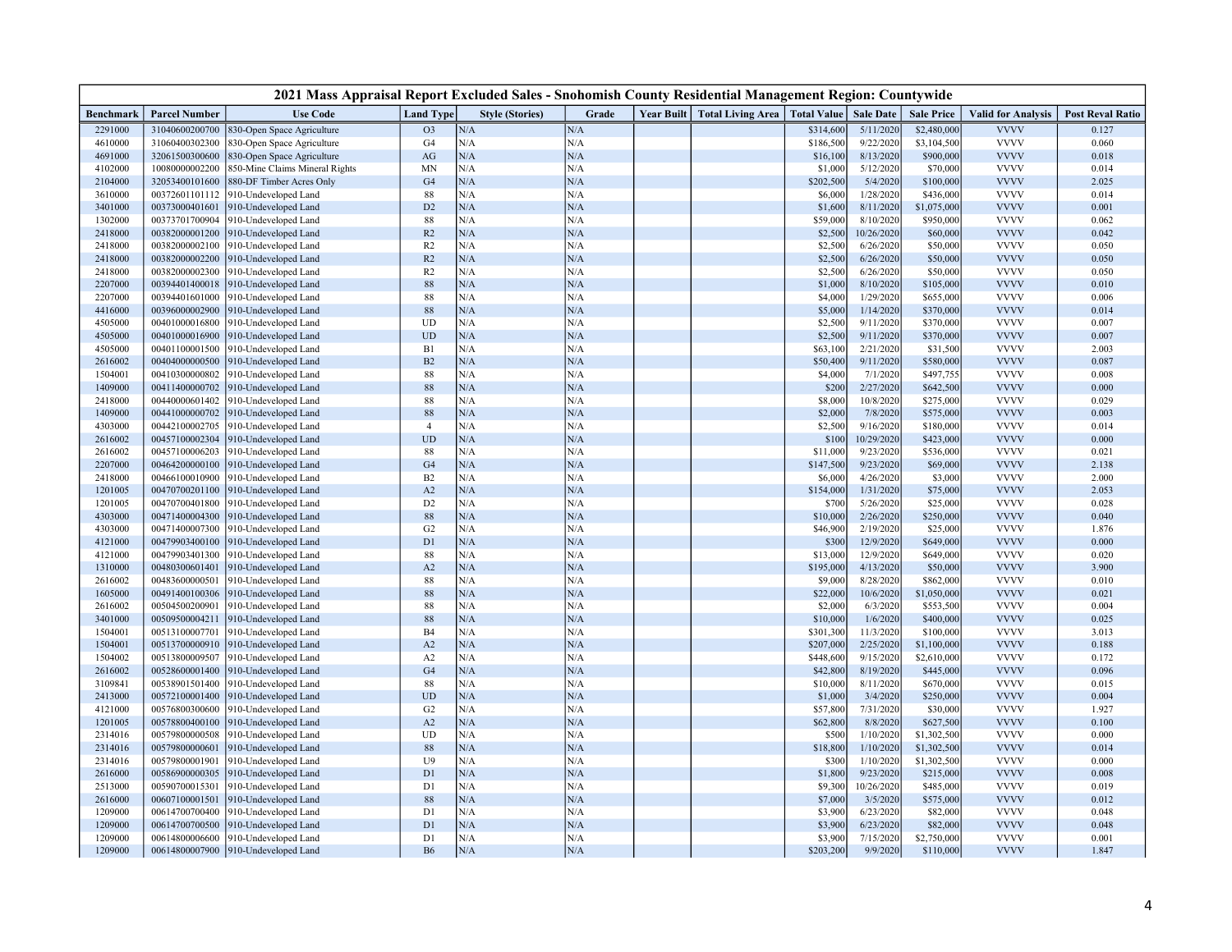| 2021 Mass Appraisal Report Excluded Sales - Snohomish County Residential Management Region: Countywide |                                  |                                              |                            |                        |            |  |                                              |                     |                      |                          |                            |                         |
|--------------------------------------------------------------------------------------------------------|----------------------------------|----------------------------------------------|----------------------------|------------------------|------------|--|----------------------------------------------|---------------------|----------------------|--------------------------|----------------------------|-------------------------|
| Benchmark                                                                                              | <b>Parcel Number</b>             | <b>Use Code</b>                              | <b>Land Type</b>           | <b>Style (Stories)</b> | Grade      |  | Year Built   Total Living Area   Total Value |                     | <b>Sale Date</b>     | <b>Sale Price</b>        | <b>Valid for Analysis</b>  | <b>Post Reval Ratio</b> |
| 2291000                                                                                                | 31040600200700                   | 830-Open Space Agriculture                   | O <sub>3</sub>             | N/A                    | N/A        |  |                                              | \$314,600           | 5/11/2020            | \$2,480,000              | <b>VVVV</b>                | 0.127                   |
| 4610000                                                                                                | 31060400302300                   | 830-Open Space Agriculture                   | G <sub>4</sub>             | N/A                    | N/A        |  |                                              | \$186,500           | 9/22/2020            | \$3,104,500              | <b>VVVV</b>                | 0.060                   |
| 4691000                                                                                                | 32061500300600                   | 830-Open Space Agriculture                   | $\rm{AG}$                  | N/A                    | N/A        |  |                                              | \$16,100            | 8/13/2020            | \$900,000                | <b>VVVV</b>                | 0.018                   |
| 4102000                                                                                                | 10080000002200                   | 850-Mine Claims Mineral Rights               | <b>MN</b>                  | N/A                    | N/A        |  |                                              | \$1,000             | 5/12/2020            | \$70,000                 | <b>VVVV</b>                | 0.014                   |
| 2104000                                                                                                | 32053400101600                   | 880-DF Timber Acres Only                     | G4                         | $\rm N/A$              | N/A        |  |                                              | \$202,500           | 5/4/2020             | \$100,000                | <b>VVVV</b>                | 2.025                   |
| 3610000                                                                                                | 00372601101112                   | 910-Undeveloped Land                         | 88                         | N/A                    | N/A        |  |                                              | \$6,000             | 1/28/2020            | \$436,000                | <b>VVVV</b>                | 0.014                   |
| 3401000                                                                                                | 00373000401601                   | 910-Undeveloped Land                         | D <sub>2</sub>             | N/A                    | N/A        |  |                                              | \$1,600             | 8/11/2020            | \$1,075,000              | <b>VVVV</b>                | 0.001                   |
| 1302000                                                                                                | 00373701700904                   | 910-Undeveloped Land                         | 88                         | N/A                    | N/A        |  |                                              | \$59,000            | 8/10/2020            | \$950,000                | <b>VVVV</b>                | 0.062                   |
| 2418000                                                                                                | 00382000001200                   | 910-Undeveloped Land                         | R2                         | N/A                    | N/A        |  |                                              | \$2,500             | 10/26/2020           | \$60,000                 | <b>VVVV</b>                | 0.042                   |
| 2418000                                                                                                | 00382000002100                   | 910-Undeveloped Land                         | R <sub>2</sub>             | N/A                    | N/A        |  |                                              | \$2,500             | 6/26/2020            | \$50,000                 | <b>VVVV</b>                | 0.050                   |
| 2418000                                                                                                | 00382000002200                   | 910-Undeveloped Land                         | R2                         | N/A                    | N/A        |  |                                              | \$2,500             | 6/26/2020            | \$50,000                 | <b>VVVV</b>                | 0.050                   |
| 2418000                                                                                                | 00382000002300                   | 910-Undeveloped Land                         | R <sub>2</sub>             | N/A                    | N/A        |  |                                              | \$2,500             | 6/26/2020            | \$50,000                 | <b>VVVV</b>                | 0.050                   |
| 2207000                                                                                                | 00394401400018                   | 910-Undeveloped Land                         | 88                         | N/A                    | N/A        |  |                                              | \$1,000             | 8/10/2020            | \$105,000                | <b>VVVV</b>                | 0.010                   |
| 2207000                                                                                                | 00394401601000                   | 910-Undeveloped Land                         | 88                         | N/A                    | N/A        |  |                                              | \$4,000             | 1/29/2020            | \$655,000                | <b>VVVV</b>                | 0.006                   |
| 4416000                                                                                                | 00396000002900                   | 910-Undeveloped Land                         | 88                         | N/A                    | N/A        |  |                                              | \$5,000             | 1/14/2020            | \$370,000                | <b>VVVV</b>                | 0.014                   |
| 4505000                                                                                                | 00401000016800                   | 910-Undeveloped Land                         | <b>UD</b>                  | N/A                    | N/A        |  |                                              | \$2,500             | 9/11/2020            | \$370,000                | <b>VVVV</b>                | 0.007                   |
| 4505000                                                                                                | 00401000016900                   | 910-Undeveloped Land                         | $\ensuremath{\mathrm{UD}}$ | N/A                    | N/A        |  |                                              | \$2,500             | 9/11/2020            | \$370,000                | <b>VVVV</b>                | 0.007                   |
| 4505000                                                                                                | 00401100001500                   | 910-Undeveloped Land                         | B1                         | N/A                    | N/A        |  |                                              | \$63,100            | 2/21/2020            | \$31,500                 | <b>VVVV</b>                | 2.003                   |
| 2616002                                                                                                | 00404000000500                   | 910-Undeveloped Land                         | B2                         | N/A                    | N/A        |  |                                              | \$50,400            | 9/11/2020            | \$580,000                | <b>VVVV</b>                | 0.087                   |
| 1504001                                                                                                | 00410300000802                   | 910-Undeveloped Land                         | 88                         | N/A                    | N/A        |  |                                              | \$4,000             | 7/1/2020             | \$497,755                | <b>VVVV</b>                | 0.008                   |
| 1409000                                                                                                | 00411400000702                   | 910-Undeveloped Land                         | 88                         | N/A                    | N/A        |  |                                              | \$200               | 2/27/2020            | \$642,500                | <b>VVVV</b>                | 0.000                   |
| 2418000                                                                                                | 00440000601402                   | 910-Undeveloped Land                         | 88                         | ${\rm N/A}$            | N/A        |  |                                              | \$8,000             | 10/8/2020            | \$275,000                | <b>VVVV</b>                | 0.029                   |
| 1409000                                                                                                | 00441000000702                   | 910-Undeveloped Land                         | 88                         | N/A                    | N/A        |  |                                              | \$2,000             | 7/8/2020             | \$575,000                | <b>VVVV</b>                | 0.003                   |
| 4303000                                                                                                | 00442100002705                   | 910-Undeveloped Land                         | $\overline{4}$             | N/A                    | N/A        |  |                                              | \$2,500             | 9/16/2020            | \$180,000                | <b>VVVV</b>                | 0.014                   |
| 2616002                                                                                                | 00457100002304                   | 910-Undeveloped Land                         | <b>UD</b>                  | N/A                    | N/A        |  |                                              | \$100               | 10/29/2020           | \$423,000                | <b>VVVV</b>                | 0.000                   |
| 2616002                                                                                                | 00457100006203                   | 910-Undeveloped Land                         | 88                         | N/A                    | N/A        |  |                                              | \$11,000            | 9/23/2020            | \$536,000                | <b>VVVV</b>                | 0.021                   |
| 2207000                                                                                                | 00464200000100                   | 910-Undeveloped Land                         | G <sub>4</sub>             | N/A                    | N/A        |  |                                              | \$147,500           | 9/23/2020            | \$69,000                 | <b>VVVV</b>                | 2.138                   |
| 2418000                                                                                                | 00466100010900                   | 910-Undeveloped Land                         | B2                         | ${\rm N/A}$            | N/A        |  |                                              | \$6,000             | 4/26/2020            | \$3,000                  | <b>VVVV</b>                | 2.000                   |
| 1201005                                                                                                | 00470700201100                   | 910-Undeveloped Land                         | A2                         | N/A                    | N/A        |  |                                              | \$154,000           | 1/31/2020            | \$75,000                 | <b>VVVV</b>                | 2.053                   |
| 1201005                                                                                                | 00470700401800                   | 910-Undeveloped Land                         | D <sub>2</sub>             | N/A                    | N/A        |  |                                              | \$700               | 5/26/2020            | \$25,000                 | <b>VVVV</b>                | 0.028                   |
| 4303000                                                                                                | 00471400004300                   | 910-Undeveloped Land                         | $88\,$                     | N/A                    | N/A        |  |                                              | \$10,000            | 2/26/2020            | \$250,000                | <b>VVVV</b>                | 0.040                   |
| 4303000                                                                                                | 00471400007300                   | 910-Undeveloped Land                         | G <sub>2</sub>             | N/A                    | N/A        |  |                                              | \$46,900            | 2/19/2020            | \$25,000                 | <b>VVVV</b>                | 1.876                   |
| 4121000                                                                                                | 00479903400100                   | 910-Undeveloped Land                         | D1                         | N/A                    | N/A        |  |                                              | \$300               | 12/9/2020            | \$649,000                | <b>VVVV</b>                | 0.000                   |
| 4121000                                                                                                | 00479903401300                   | 910-Undeveloped Land                         | 88                         | N/A                    | N/A        |  |                                              | \$13,000            | 12/9/2020            | \$649,000                | <b>VVVV</b>                | 0.020                   |
| 1310000                                                                                                | 00480300601401                   | 910-Undeveloped Land                         | A2                         | N/A                    | N/A        |  |                                              | \$195,000           | 4/13/2020            | \$50,000                 | <b>VVVV</b><br><b>VVVV</b> | 3.900                   |
| 2616002                                                                                                | 00483600000501                   | 910-Undeveloped Land                         | 88                         | N/A                    | N/A        |  |                                              | \$9,000             | 8/28/2020            | \$862,000                | <b>VVVV</b>                | 0.010<br>0.021          |
| 1605000                                                                                                | 00491400100306                   | 910-Undeveloped Land                         | $88\,$                     | $\rm N/A$<br>N/A       | N/A        |  |                                              | \$22,000            | 10/6/2020            | \$1,050,000              | <b>VVVV</b>                | 0.004                   |
| 2616002<br>3401000                                                                                     | 00504500200901<br>00509500004211 | 910-Undeveloped Land                         | $88\,$<br>$88\,$           | N/A                    | N/A<br>N/A |  |                                              | \$2,000<br>\$10,000 | 6/3/2020<br>1/6/2020 | \$553,500<br>\$400,000   | <b>VVVV</b>                | 0.025                   |
| 1504001                                                                                                | 00513100007701                   | 910-Undeveloped Land                         | <b>B4</b>                  | N/A                    | N/A        |  |                                              | \$301,300           | 11/3/2020            |                          | <b>VVVV</b>                | 3.013                   |
| 1504001                                                                                                | 00513700000910                   | 910-Undeveloped Land<br>910-Undeveloped Land | A2                         | N/A                    | N/A        |  |                                              | \$207,000           | 2/25/2020            | \$100,000<br>\$1,100,000 | <b>VVVV</b>                | 0.188                   |
| 1504002                                                                                                | 00513800009507                   | 910-Undeveloped Land                         | A2                         | N/A                    | N/A        |  |                                              | \$448,600           | 9/15/2020            | \$2,610,000              | <b>VVVV</b>                | 0.172                   |
| 2616002                                                                                                | 00528600001400                   | 910-Undeveloped Land                         | G <sub>4</sub>             | N/A                    | N/A        |  |                                              | \$42,800            | 8/19/2020            | \$445,000                | <b>VVVV</b>                | 0.096                   |
| 3109841                                                                                                | 00538901501400                   | 910-Undeveloped Land                         | 88                         | N/A                    | N/A        |  |                                              | \$10,000            | 8/11/2020            | \$670,000                | <b>VVVV</b>                | 0.015                   |
| 2413000                                                                                                | 00572100001400                   | 910-Undeveloped Land                         | <b>UD</b>                  | N/A                    | N/A        |  |                                              | \$1,000             | 3/4/2020             | \$250,000                | <b>VVVV</b>                | 0.004                   |
| 4121000                                                                                                | 00576800300600                   | 910-Undeveloped Land                         | G <sub>2</sub>             | N/A                    | N/A        |  |                                              | \$57,800            | 7/31/2020            | \$30,000                 | <b>VVVV</b>                | 1.927                   |
| 1201005                                                                                                | 00578800400100                   | 910-Undeveloped Land                         | A2                         | N/A                    | N/A        |  |                                              | \$62,800            | 8/8/2020             | \$627,500                | <b>VVVV</b>                | 0.100                   |
| 2314016                                                                                                | 00579800000508                   | 910-Undeveloped Land                         | UD                         | N/A                    | N/A        |  |                                              | \$500               | 1/10/2020            | \$1,302,500              | <b>VVVV</b>                | 0.000                   |
| 2314016                                                                                                | 00579800000601                   | 910-Undeveloped Land                         | $88\,$                     | N/A                    | N/A        |  |                                              | \$18,800            | 1/10/2020            | \$1,302,500              | <b>VVVV</b>                | 0.014                   |
| 2314016                                                                                                | 00579800001901                   | 910-Undeveloped Land                         | U <sub>9</sub>             | N/A                    | N/A        |  |                                              | \$300               | 1/10/2020            | \$1,302,500              | <b>VVVV</b>                | 0.000                   |
| 2616000                                                                                                | 00586900000305                   | 910-Undeveloped Land                         | D1                         | N/A                    | N/A        |  |                                              | \$1,800             | 9/23/2020            | \$215,000                | <b>VVVV</b>                | 0.008                   |
| 2513000                                                                                                | 00590700015301                   | 910-Undeveloped Land                         | D1                         | N/A                    | N/A        |  |                                              | \$9,300             | 10/26/2020           | \$485,000                | <b>VVVV</b>                | 0.019                   |
| 2616000                                                                                                | 00607100001501                   | 910-Undeveloped Land                         | 88                         | N/A                    | N/A        |  |                                              | \$7,000             | 3/5/2020             | \$575,000                | <b>VVVV</b>                | 0.012                   |
| 1209000                                                                                                | 00614700700400                   | 910-Undeveloped Land                         | D1                         | N/A                    | N/A        |  |                                              | \$3,900             | 6/23/2020            | \$82,000                 | <b>VVVV</b>                | 0.048                   |
| 1209000                                                                                                | 00614700700500                   | 910-Undeveloped Land                         | D1                         | N/A                    | N/A        |  |                                              | \$3,900             | 6/23/2020            | \$82,000                 | <b>VVVV</b>                | 0.048                   |
| 1209000                                                                                                | 00614800006600                   | 910-Undeveloped Land                         | D1                         | N/A                    | N/A        |  |                                              | \$3,900             | 7/15/2020            | \$2,750,000              | <b>VVVV</b>                | 0.001                   |
| 1209000                                                                                                | 00614800007900                   | 910-Undeveloped Land                         | <b>B6</b>                  | N/A                    | N/A        |  |                                              | \$203,200           | 9/9/2020             | \$110,000                | <b>VVVV</b>                | 1.847                   |
|                                                                                                        |                                  |                                              |                            |                        |            |  |                                              |                     |                      |                          |                            |                         |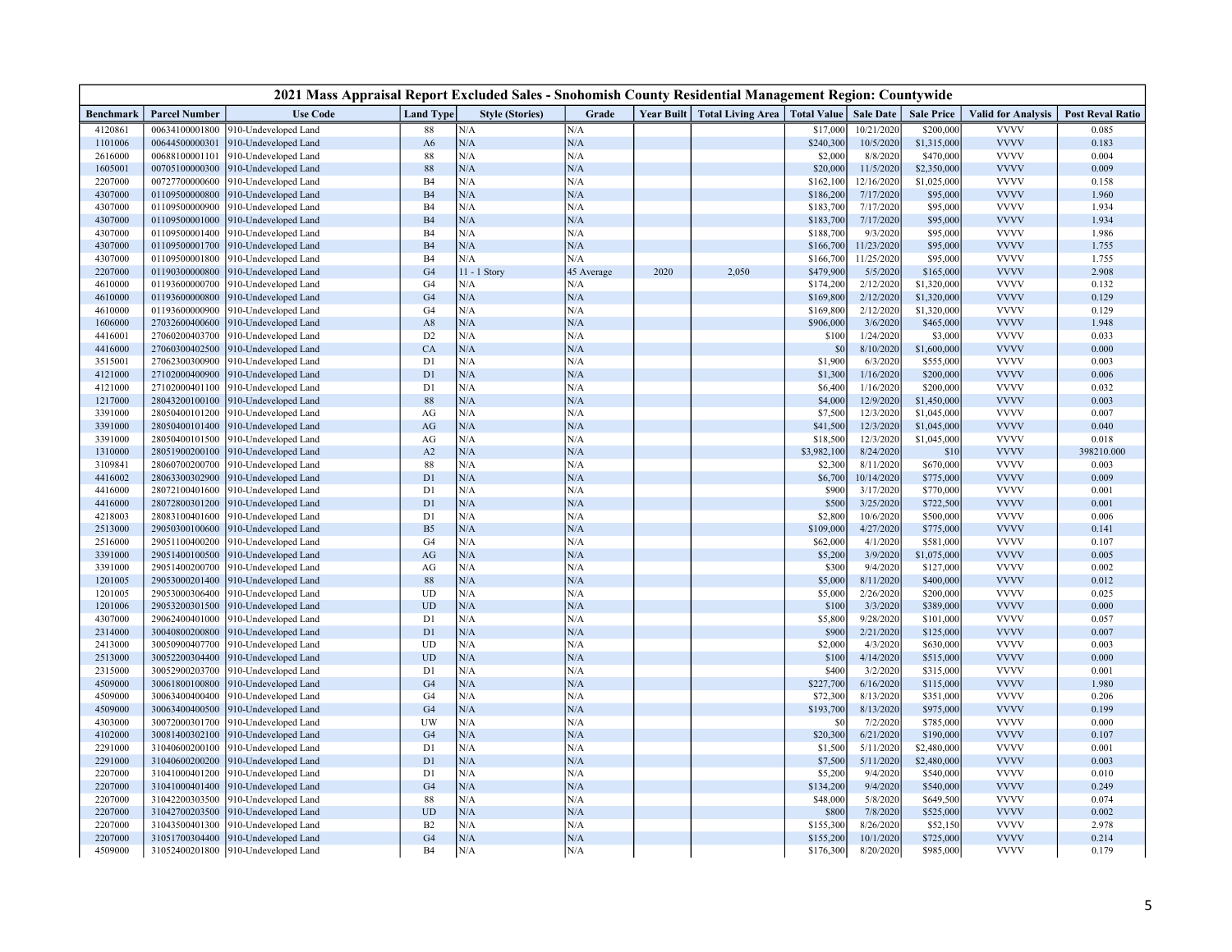| 2021 Mass Appraisal Report Excluded Sales - Snohomish County Residential Management Region: Countywide |                      |                      |                  |                        |            |      |                                              |             |                  |                   |                           |                         |
|--------------------------------------------------------------------------------------------------------|----------------------|----------------------|------------------|------------------------|------------|------|----------------------------------------------|-------------|------------------|-------------------|---------------------------|-------------------------|
| Benchmark                                                                                              | <b>Parcel Number</b> | <b>Use Code</b>      | <b>Land Type</b> | <b>Style (Stories)</b> | Grade      |      | Year Built   Total Living Area   Total Value |             | <b>Sale Date</b> | <b>Sale Price</b> | <b>Valid for Analysis</b> | <b>Post Reval Ratio</b> |
| 4120861                                                                                                | 00634100001800       | 910-Undeveloped Land | 88               | N/A                    | N/A        |      |                                              | \$17,000    | 10/21/2020       | \$200,000         | <b>VVVV</b>               | 0.085                   |
| 1101006                                                                                                | 00644500000301       | 910-Undeveloped Land | A <sub>6</sub>   | N/A                    | N/A        |      |                                              | \$240,300   | 10/5/2020        | \$1,315,000       | <b>VVVV</b>               | 0.183                   |
| 2616000                                                                                                | 00688100001101       | 910-Undeveloped Land | 88               | N/A                    | N/A        |      |                                              | \$2,000     | 8/8/2020         | \$470,000         | <b>VVVV</b>               | 0.004                   |
| 1605001                                                                                                | 00705100000300       | 910-Undeveloped Land | $88\,$           | N/A                    | N/A        |      |                                              | \$20,000    | 11/5/2020        | \$2,350,000       | <b>VVVV</b>               | 0.009                   |
| 2207000                                                                                                | 00727700000600       | 910-Undeveloped Land | B <sub>4</sub>   | N/A                    | N/A        |      |                                              | \$162,100   | 12/16/2020       | \$1,025,000       | <b>VVVV</b>               | 0.158                   |
| 4307000                                                                                                | 01109500000800       | 910-Undeveloped Land | <b>B4</b>        | N/A                    | N/A        |      |                                              | \$186,200   | 7/17/2020        | \$95,000          | <b>VVVV</b>               | 1.960                   |
| 4307000                                                                                                | 01109500000900       | 910-Undeveloped Land | B <sub>4</sub>   | N/A                    | N/A        |      |                                              | \$183,700   | 7/17/2020        | \$95,000          | <b>VVVV</b>               | 1.934                   |
| 4307000                                                                                                | 01109500001000       | 910-Undeveloped Land | <b>B4</b>        | N/A                    | N/A        |      |                                              | \$183,700   | 7/17/2020        | \$95,000          | <b>VVVV</b>               | 1.934                   |
| 4307000                                                                                                | 01109500001400       | 910-Undeveloped Land | <b>B4</b>        | N/A                    | N/A        |      |                                              | \$188,700   | 9/3/2020         | \$95,000          | <b>VVVV</b>               | 1.986                   |
| 4307000                                                                                                | 01109500001700       | 910-Undeveloped Land | <b>B4</b>        | N/A                    | N/A        |      |                                              | \$166,700   | 11/23/2020       | \$95,000          | <b>VVVV</b>               | 1.755                   |
| 4307000                                                                                                | 01109500001800       | 910-Undeveloped Land | B <sub>4</sub>   | N/A                    | N/A        |      |                                              | \$166,700   | 11/25/2020       | \$95,000          | <b>VVVV</b>               | 1.755                   |
| 2207000                                                                                                | 01190300000800       | 910-Undeveloped Land | G <sub>4</sub>   | $11 - 1$<br>Story      | 45 Average | 2020 | 2,050                                        | \$479,900   | 5/5/2020         | \$165,000         | <b>VVVV</b>               | 2.908                   |
| 4610000                                                                                                | 01193600000700       | 910-Undeveloped Land | G <sub>4</sub>   | N/A                    | N/A        |      |                                              | \$174,200   | 2/12/2020        | \$1,320,000       | <b>VVVV</b>               | 0.132                   |
| 4610000                                                                                                | 01193600000800       | 910-Undeveloped Land | G4               | N/A                    | N/A        |      |                                              | \$169,800   | 2/12/2020        | \$1,320,000       | <b>VVVV</b>               | 0.129                   |
| 4610000                                                                                                | 01193600000900       | 910-Undeveloped Land | G <sub>4</sub>   | N/A                    | N/A        |      |                                              | \$169,800   | 2/12/2020        | \$1,320,000       | <b>VVVV</b>               | 0.129                   |
| 1606000                                                                                                | 27032600400600       | 910-Undeveloped Land | A8               | N/A                    | N/A        |      |                                              | \$906,000   | 3/6/2020         | \$465,000         | <b>VVVV</b>               | 1.948                   |
| 4416001                                                                                                | 27060200403700       | 910-Undeveloped Land | D <sub>2</sub>   | N/A                    | N/A        |      |                                              | \$100       | 1/24/2020        | \$3,000           | <b>VVVV</b>               | 0.033                   |
| 4416000                                                                                                | 27060300402500       | 910-Undeveloped Land | CA               | N/A                    | N/A        |      |                                              | \$0         | 8/10/2020        | \$1,600,000       | <b>VVVV</b>               | 0.000                   |
| 3515001                                                                                                | 27062300300900       | 910-Undeveloped Land | D1               | N/A                    | N/A        |      |                                              | \$1,900     | 6/3/2020         | \$555,000         | <b>VVVV</b>               | 0.003                   |
| 4121000                                                                                                | 27102000400900       | 910-Undeveloped Land | D1               | N/A                    | N/A        |      |                                              | \$1,300     | 1/16/2020        | \$200,000         | <b>VVVV</b>               | 0.006                   |
| 4121000                                                                                                | 27102000401100       | 910-Undeveloped Land | D1               | N/A                    | N/A        |      |                                              | \$6,400     | 1/16/2020        | \$200,000         | <b>VVVV</b>               | 0.032                   |
| 1217000                                                                                                | 28043200100100       | 910-Undeveloped Land | $88\,$           | N/A                    | N/A        |      |                                              | \$4,000     | 12/9/2020        | \$1,450,000       | <b>VVVV</b>               | 0.003                   |
| 3391000                                                                                                | 28050400101200       | 910-Undeveloped Land | AG               | N/A                    | N/A        |      |                                              | \$7,500     | 12/3/2020        | \$1,045,000       | <b>VVVV</b>               | 0.007                   |
| 3391000                                                                                                | 28050400101400       | 910-Undeveloped Land | AG               | N/A                    | N/A        |      |                                              | \$41,500    | 12/3/2020        | \$1,045,000       | <b>VVVV</b>               | 0.040                   |
| 3391000                                                                                                | 28050400101500       | 910-Undeveloped Land | AG               | N/A                    | N/A        |      |                                              | \$18,500    | 12/3/2020        | \$1,045,000       | <b>VVVV</b>               | 0.018                   |
| 1310000                                                                                                | 28051900200100       | 910-Undeveloped Land | A2               | N/A                    | N/A        |      |                                              | \$3,982,100 | 8/24/2020        | \$10              | <b>VVVV</b>               | 398210.000              |
| 3109841                                                                                                | 28060700200700       | 910-Undeveloped Land | 88               | N/A                    | N/A        |      |                                              | \$2,300     | 8/11/2020        | \$670,000         | <b>VVVV</b>               | 0.003                   |
| 4416002                                                                                                | 28063300302900       | 910-Undeveloped Land | D1               | N/A                    | N/A        |      |                                              | \$6,700     | 10/14/2020       | \$775,000         | <b>VVVV</b>               | 0.009                   |
| 4416000                                                                                                | 28072100401600       | 910-Undeveloped Land | D1               | N/A                    | N/A        |      |                                              | \$900       | 3/17/2020        | \$770,000         | <b>VVVV</b>               | 0.001                   |
| 4416000                                                                                                | 28072800301200       | 910-Undeveloped Land | D1               | $\rm N/A$              | N/A        |      |                                              | \$500       | 3/25/2020        | \$722,500         | <b>VVVV</b>               | 0.001                   |
| 4218003                                                                                                | 28083100401600       | 910-Undeveloped Land | D1               | N/A                    | N/A        |      |                                              | \$2,800     | 10/6/2020        | \$500,000         | <b>VVVV</b>               | 0.006                   |
| 2513000                                                                                                | 29050300100600       | 910-Undeveloped Land | B <sub>5</sub>   | N/A                    | N/A        |      |                                              | \$109,000   | 4/27/2020        | \$775,000         | <b>VVVV</b>               | 0.141                   |
| 2516000                                                                                                | 29051100400200       | 910-Undeveloped Land | G <sub>4</sub>   | N/A                    | N/A        |      |                                              | \$62,000    | 4/1/2020         | \$581,000         | <b>VVVV</b>               | 0.107                   |
| 3391000                                                                                                | 29051400100500       | 910-Undeveloped Land | $\rm{AG}$        | N/A                    | N/A        |      |                                              | \$5,200     | 3/9/2020         | \$1,075,000       | <b>VVVV</b>               | 0.005                   |
| 3391000                                                                                                | 29051400200700       | 910-Undeveloped Land | AG               | N/A                    | N/A        |      |                                              | \$300       | 9/4/2020         | \$127,000         | <b>VVVV</b>               | 0.002                   |
| 1201005                                                                                                | 29053000201400       | 910-Undeveloped Land | 88               | N/A                    | N/A        |      |                                              | \$5,000     | 8/11/2020        | \$400,000         | <b>VVVV</b>               | 0.012                   |
| 1201005                                                                                                | 29053000306400       | 910-Undeveloped Land | UD               | $\rm N/A$              | N/A        |      |                                              | \$5,000     | 2/26/2020        | \$200,000         | <b>VVVV</b>               | 0.025                   |
| 1201006                                                                                                | 29053200301500       | 910-Undeveloped Land | <b>UD</b>        | $\rm N/A$              | N/A        |      |                                              | \$100       | 3/3/2020         | \$389,000         | <b>VVVV</b>               | 0.000                   |
| 4307000                                                                                                | 29062400401000       | 910-Undeveloped Land | D1               | N/A                    | N/A        |      |                                              | \$5,800     | 9/28/2020        | \$101,000         | <b>VVVV</b>               | 0.057                   |
| 2314000                                                                                                | 30040800200800       | 910-Undeveloped Land | D1               | N/A                    | N/A        |      |                                              | \$900       | 2/21/2020        | \$125,000         | <b>VVVV</b>               | 0.007                   |
| 2413000                                                                                                | 30050900407700       | 910-Undeveloped Land | UD               | N/A                    | N/A        |      |                                              | \$2,000     | 4/3/2020         | \$630,000         | <b>VVVV</b>               | 0.003                   |
| 2513000                                                                                                | 30052200304400       | 910-Undeveloped Land | UD               | N/A                    | N/A        |      |                                              | \$100       | 4/14/2020        | \$515,000         | <b>VVVV</b>               | 0.000                   |
| 2315000                                                                                                | 30052900203700       | 910-Undeveloped Land | D1               | N/A                    | N/A        |      |                                              | \$400       | 3/2/2020         | \$315,000         | <b>VVVV</b>               | 0.001                   |
| 4509000                                                                                                | 30061800100800       | 910-Undeveloped Land | G <sub>4</sub>   | $\rm N/A$              | N/A        |      |                                              | \$227,700   | 6/16/2020        | \$115,000         | <b>VVVV</b>               | 1.980                   |
| 4509000                                                                                                | 30063400400400       | 910-Undeveloped Land | G <sub>4</sub>   | N/A                    | N/A        |      |                                              | \$72,300    | 8/13/2020        | \$351,000         | <b>VVVV</b>               | 0.206                   |
| 4509000                                                                                                | 30063400400500       | 910-Undeveloped Land | G <sub>4</sub>   | N/A                    | N/A        |      |                                              | \$193,700   | 8/13/2020        | \$975,000         | <b>VVVV</b>               | 0.199                   |
| 4303000                                                                                                | 30072000301700       | 910-Undeveloped Land | UW               | N/A                    | N/A        |      |                                              | \$0         | 7/2/2020         | \$785,000         | <b>VVVV</b>               | 0.000                   |
| 4102000                                                                                                | 30081400302100       | 910-Undeveloped Land | G <sub>4</sub>   | $\rm N/A$              | N/A        |      |                                              | \$20,300    | 6/21/2020        | \$190,000         | <b>VVVV</b>               | 0.107                   |
| 2291000                                                                                                | 31040600200100       | 910-Undeveloped Land | D1               | N/A                    | N/A        |      |                                              | \$1,500     | 5/11/2020        | \$2,480,000       | <b>VVVV</b>               | 0.001                   |
| 2291000                                                                                                | 31040600200200       | 910-Undeveloped Land | D1               | $\rm N/A$              | N/A        |      |                                              | \$7,500     | 5/11/2020        | \$2,480,000       | <b>VVVV</b>               | 0.003                   |
| 2207000                                                                                                | 31041000401200       | 910-Undeveloped Land | D1               | N/A                    | N/A        |      |                                              | \$5,200     | 9/4/2020         | \$540,000         | <b>VVVV</b>               | 0.010                   |
| 2207000                                                                                                | 31041000401400       | 910-Undeveloped Land | G <sub>4</sub>   | N/A                    | N/A        |      |                                              | \$134,200   | 9/4/2020         | \$540,000         | <b>VVVV</b>               | 0.249                   |
| 2207000                                                                                                | 31042200303500       | 910-Undeveloped Land | 88               | N/A                    | N/A        |      |                                              | \$48,000    | 5/8/2020         | \$649,500         | <b>VVVV</b>               | 0.074                   |
| 2207000                                                                                                | 31042700203500       | 910-Undeveloped Land | <b>UD</b>        | N/A                    | N/A        |      |                                              | \$800       | 7/8/2020         | \$525,000         | <b>VVVV</b>               | 0.002                   |
| 2207000                                                                                                | 31043500401300       | 910-Undeveloped Land | B2               | N/A                    | N/A        |      |                                              | \$155,300   | 8/26/2020        | \$52,150          | <b>VVVV</b>               | 2.978                   |
| 2207000                                                                                                | 31051700304400       | 910-Undeveloped Land | G4               | N/A                    | N/A        |      |                                              | \$155,200   | 10/1/2020        | \$725,000         | <b>VVVV</b>               | 0.214                   |
| 4509000                                                                                                | 31052400201800       | 910-Undeveloped Land | B <sub>4</sub>   | N/A                    | N/A        |      |                                              | \$176,300   | 8/20/2020        | \$985,000         | <b>VVVV</b>               | 0.179                   |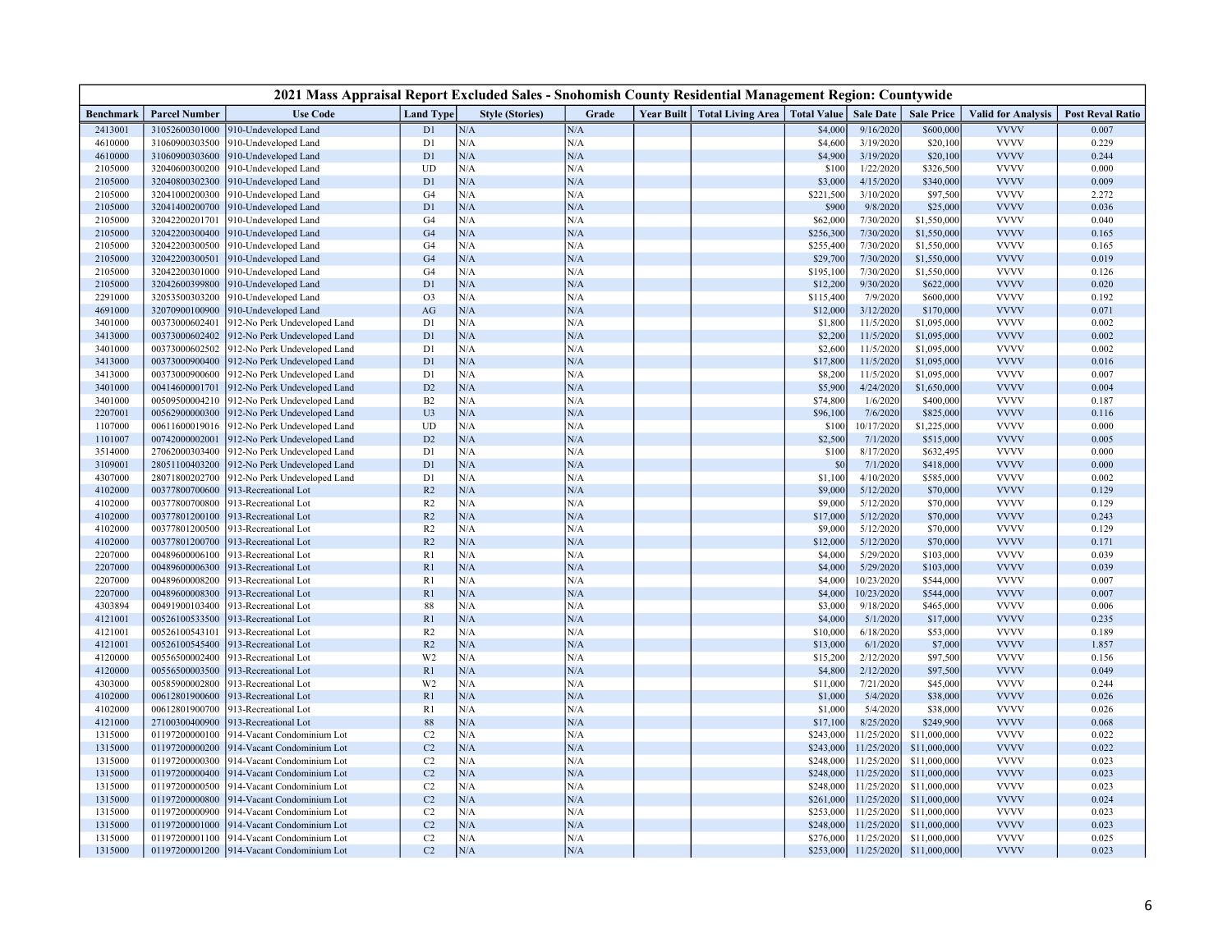| 2021 Mass Appraisal Report Excluded Sales - Snohomish County Residential Management Region: Countywide |                                  |                                            |                  |                        |            |  |                                              |                    |                         |                        |                            |                         |
|--------------------------------------------------------------------------------------------------------|----------------------------------|--------------------------------------------|------------------|------------------------|------------|--|----------------------------------------------|--------------------|-------------------------|------------------------|----------------------------|-------------------------|
| Benchmark                                                                                              | <b>Parcel Number</b>             | <b>Use Code</b>                            | <b>Land Type</b> | <b>Style (Stories)</b> | Grade      |  | Year Built   Total Living Area   Total Value |                    | <b>Sale Date</b>        | <b>Sale Price</b>      | <b>Valid for Analysis</b>  | <b>Post Reval Ratio</b> |
| 2413001                                                                                                | 31052600301000                   | 910-Undeveloped Land                       | D1               | N/A                    | N/A        |  |                                              | \$4,000            | 9/16/2020               | \$600,000              | <b>VVVV</b>                | 0.007                   |
| 4610000                                                                                                | 31060900303500                   | 910-Undeveloped Land                       | D1               | N/A                    | N/A        |  |                                              | \$4,600            | 3/19/2020               | \$20,100               | <b>VVVV</b>                | 0.229                   |
| 4610000                                                                                                | 31060900303600                   | 910-Undeveloped Land                       | D1               | N/A                    | N/A        |  |                                              | \$4,900            | 3/19/2020               | \$20,100               | <b>VVVV</b>                | 0.244                   |
| 2105000                                                                                                | 32040600300200                   | 910-Undeveloped Land                       | UD               | N/A                    | N/A        |  |                                              | \$100              | 1/22/2020               | \$326,500              | <b>VVVV</b>                | 0.000                   |
| 2105000                                                                                                | 32040800302300                   | 910-Undeveloped Land                       | D1               | N/A                    | N/A        |  |                                              | \$3,000            | 4/15/2020               | \$340,000              | <b>VVVV</b>                | 0.009                   |
| 2105000                                                                                                | 32041000200300                   | 910-Undeveloped Land                       | G4               | N/A                    | N/A        |  |                                              | \$221,500          | 3/10/2020               | \$97,500               | <b>VVVV</b>                | 2.272                   |
| 2105000                                                                                                | 32041400200700                   | 910-Undeveloped Land                       | D1               | N/A                    | N/A        |  |                                              | \$900              | 9/8/2020                | \$25,000               | <b>VVVV</b>                | 0.036                   |
| 2105000                                                                                                | 32042200201701                   | 910-Undeveloped Land                       | G <sub>4</sub>   | N/A                    | N/A        |  |                                              | \$62,000           | 7/30/2020               | \$1,550,000            | <b>VVVV</b>                | 0.040                   |
| 2105000                                                                                                | 32042200300400                   | 910-Undeveloped Land                       | G4               | N/A                    | N/A        |  |                                              | \$256,300          | 7/30/2020               | \$1,550,000            | <b>VVVV</b>                | 0.165                   |
| 2105000                                                                                                | 32042200300500                   | 910-Undeveloped Land                       | G4               | N/A                    | N/A        |  |                                              | \$255,400          | 7/30/2020               | \$1,550,000            | <b>VVVV</b>                | 0.165                   |
| 2105000                                                                                                | 32042200300501                   | 910-Undeveloped Land                       | G <sub>4</sub>   | N/A                    | N/A        |  |                                              | \$29,700           | 7/30/2020               | \$1,550,000            | <b>VVVV</b>                | 0.019                   |
| 2105000                                                                                                | 32042200301000                   | 910-Undeveloped Land                       | G <sub>4</sub>   | N/A                    | N/A        |  |                                              | \$195,100          | 7/30/2020               | \$1,550,000            | <b>VVVV</b>                | 0.126                   |
| 2105000                                                                                                | 32042600399800                   | 910-Undeveloped Land                       | D1               | N/A                    | N/A        |  |                                              | \$12,200           | 9/30/2020               | \$622,000              | <b>VVVV</b>                | 0.020                   |
| 2291000                                                                                                | 32053500303200                   | 910-Undeveloped Land                       | O <sub>3</sub>   | N/A                    | N/A        |  |                                              | \$115,400          | 7/9/2020                | \$600,000              | <b>VVVV</b>                | 0.192                   |
| 4691000                                                                                                | 32070900100900                   | 910-Undeveloped Land                       | AG               | N/A                    | N/A        |  |                                              | \$12,000           | 3/12/2020               | \$170,000              | <b>VVVV</b>                | 0.071                   |
| 3401000                                                                                                | 00373000602401                   | 912-No Perk Undeveloped Land               | D1               | N/A                    | N/A        |  |                                              | \$1,800            | 11/5/2020               | \$1,095,000            | <b>VVVV</b>                | 0.002                   |
| 3413000                                                                                                | 00373000602402                   | 912-No Perk Undeveloped Land               | D1               | N/A                    | N/A        |  |                                              | \$2,200            | 11/5/2020               | \$1,095,000            | <b>VVVV</b>                | 0.002                   |
| 3401000                                                                                                | 00373000602502                   | 912-No Perk Undeveloped Land               | D1               | N/A                    | N/A        |  |                                              | \$2,600            | 11/5/2020               | \$1,095,000            | <b>VVVV</b>                | 0.002                   |
| 3413000                                                                                                | 00373000900400                   | 912-No Perk Undeveloped Land               | D1               | N/A                    | N/A        |  |                                              | \$17,800           | 11/5/2020               | \$1,095,000            | <b>VVVV</b>                | 0.016                   |
| 3413000                                                                                                | 00373000900600                   | 912-No Perk Undeveloped Land               | D1               | N/A                    | N/A        |  |                                              | \$8,200            | 11/5/2020               | \$1,095,000            | <b>VVVV</b>                | 0.007                   |
| 3401000                                                                                                | 00414600001701                   | 912-No Perk Undeveloped Land               | D2               | N/A                    | N/A        |  |                                              | \$5,900            | 4/24/2020               | \$1,650,000            | <b>VVVV</b>                | 0.004                   |
| 3401000                                                                                                | 00509500004210                   | 912-No Perk Undeveloped Land               | B2               | N/A                    | N/A        |  |                                              | \$74,800           | 1/6/2020                | \$400,000              | <b>VVVV</b>                | 0.187                   |
| 2207001                                                                                                | 00562900000300                   | 912-No Perk Undeveloped Land               | U <sub>3</sub>   | N/A                    | N/A        |  |                                              | \$96,100           | 7/6/2020                | \$825,000              | <b>VVVV</b>                | 0.116                   |
| 1107000                                                                                                | 00611600019016                   | 912-No Perk Undeveloped Land               | UD               | N/A                    | N/A        |  |                                              | \$100              | 10/17/2020              | \$1,225,000            | <b>VVVV</b>                | 0.000                   |
| 1101007                                                                                                | 00742000002001                   | 912-No Perk Undeveloped Land               | D2               | N/A                    | N/A        |  |                                              | \$2,500            | 7/1/2020                | \$515,000              | <b>VVVV</b>                | 0.005                   |
| 3514000                                                                                                | 27062000303400                   | 912-No Perk Undeveloped Land               | D1               | N/A                    | N/A        |  |                                              | \$100              | 8/17/2020               | \$632,495              | <b>VVVV</b>                | 0.000                   |
| 3109001                                                                                                | 28051100403200                   | 912-No Perk Undeveloped Land               | D1               | N/A                    | N/A        |  |                                              | $$^{0}$            | 7/1/2020                | \$418,000              | <b>VVVV</b>                | 0.000                   |
| 4307000                                                                                                | 28071800202700                   | 912-No Perk Undeveloped Land               | D1               | N/A                    | N/A        |  |                                              | \$1,100            | 4/10/2020               | \$585,000              | <b>VVVV</b>                | 0.002                   |
| 4102000                                                                                                | 00377800700600                   | 913-Recreational Lot                       | R <sub>2</sub>   | N/A                    | N/A        |  |                                              | \$9,000            | 5/12/2020               | \$70,000               | <b>VVVV</b>                | 0.129                   |
| 4102000                                                                                                | 00377800700800                   | 913-Recreational Lot                       | R2               | N/A                    | N/A        |  |                                              | \$9,000            | 5/12/2020               | \$70,000               | <b>VVVV</b>                | 0.129                   |
| 4102000                                                                                                | 00377801200100                   | 913-Recreational Lot                       | R2               | N/A                    | N/A        |  |                                              | \$17,000           | 5/12/2020               | \$70,000               | <b>VVVV</b>                | 0.243                   |
| 4102000                                                                                                | 00377801200500                   | 913-Recreational Lot                       | R2               | N/A                    | N/A        |  |                                              | \$9,000            | 5/12/2020               | \$70,000               | <b>VVVV</b>                | 0.129                   |
| 4102000                                                                                                | 00377801200700                   | 913-Recreational Lot                       | R2               | N/A                    | N/A        |  |                                              | \$12,000           | 5/12/2020               | \$70,000               | <b>VVVV</b><br><b>VVVV</b> | 0.171                   |
| 2207000                                                                                                | 00489600006100                   | 913-Recreational Lot                       | R1               | N/A                    | N/A        |  |                                              | \$4,000            | 5/29/2020               | \$103,000              |                            | 0.039                   |
| 2207000                                                                                                | 00489600006300                   | 913-Recreational Lot                       | R <sub>1</sub>   | N/A<br>N/A             | N/A        |  |                                              | \$4,000            | 5/29/2020<br>10/23/2020 | \$103,000              | <b>VVVV</b><br><b>VVVV</b> | 0.039                   |
| 2207000<br>2207000                                                                                     | 00489600008200<br>00489600008300 | 13-Recreational Lot<br>13-Recreational Lot | R <sub>1</sub>   |                        | N/A        |  |                                              | \$4,000            | 10/23/2020              | \$544,000<br>\$544,000 | <b>VVVV</b>                | 0.007<br>0.007          |
| 4303894                                                                                                |                                  |                                            | R1               | N/A<br>N/A             | N/A<br>N/A |  |                                              | \$4,000            | 9/18/2020               |                        | <b>VVVV</b>                |                         |
| 4121001                                                                                                | 00491900103400<br>00526100533500 | 913-Recreational Lot                       | 88               | N/A                    | N/A        |  |                                              | \$3,000<br>\$4,000 | 5/1/2020                | \$465,000              | <b>VVVV</b>                | 0.006<br>0.235          |
| 4121001                                                                                                | 00526100543101                   | 913-Recreational Lot                       | R1<br>R2         | N/A                    | N/A        |  |                                              | \$10,000           | 6/18/2020               | \$17,000               | <b>VVVV</b>                | 0.189                   |
| 4121001                                                                                                | 00526100545400                   | 13-Recreational Lot<br>13-Recreational Lot | R <sub>2</sub>   | N/A                    | N/A        |  |                                              | \$13,000           | 6/1/2020                | \$53,000<br>\$7,000    | <b>VVVV</b>                | 1.857                   |
| 4120000                                                                                                | 00556500002400                   | 913-Recreational Lot                       | W <sub>2</sub>   | N/A                    | N/A        |  |                                              | \$15,200           | 2/12/2020               | \$97,500               | <b>VVVV</b>                | 0.156                   |
| 4120000                                                                                                | 00556500003500                   | 913-Recreational Lot                       | R <sub>1</sub>   | N/A                    | N/A        |  |                                              | \$4,800            | 2/12/2020               | \$97,500               | <b>VVVV</b>                | 0.049                   |
| 4303000                                                                                                | 00585900002800                   | 013-Recreational Lot                       | W <sub>2</sub>   | N/A                    | N/A        |  |                                              | \$11,000           | 7/21/2020               | \$45,000               | <b>VVVV</b>                | 0.244                   |
| 4102000                                                                                                | 00612801900600                   | 913-Recreational Lot                       | R1               | N/A                    | N/A        |  |                                              | \$1,000            | 5/4/2020                | \$38,000               | <b>VVVV</b>                | 0.026                   |
| 4102000                                                                                                | 00612801900700                   | 913-Recreational Lot                       | R <sub>1</sub>   | N/A                    | N/A        |  |                                              | \$1,000            | 5/4/2020                | \$38,000               | <b>VVVV</b>                | 0.026                   |
| 4121000                                                                                                | 27100300400900                   | 913-Recreational Lot                       | 88               | N/A                    | N/A        |  |                                              | \$17,100           | 8/25/2020               | \$249,900              | <b>VVVV</b>                | 0.068                   |
| 1315000                                                                                                | 01197200000100                   | 914-Vacant Condominium Lot                 | C <sub>2</sub>   | N/A                    | N/A        |  |                                              | \$243,000          | 11/25/2020              | \$11,000,000           | <b>VVVV</b>                | 0.022                   |
| 1315000                                                                                                | 01197200000200                   | 914-Vacant Condominium Lot                 | C2               | N/A                    | N/A        |  |                                              | \$243,000          | 11/25/2020              | \$11,000,000           | <b>VVVV</b>                | 0.022                   |
| 1315000                                                                                                | 01197200000300                   | 914-Vacant Condominium Lot                 | C2               | N/A                    | N/A        |  |                                              | \$248,000          | 11/25/2020              | \$11,000,000           | <b>VVVV</b>                | 0.023                   |
| 1315000                                                                                                | 01197200000400                   | 914-Vacant Condominium Lot                 | C <sub>2</sub>   | N/A                    | N/A        |  |                                              | \$248,000          | 11/25/2020              | \$11,000,000           | <b>VVVV</b>                | 0.023                   |
| 1315000                                                                                                | 01197200000500                   | 914-Vacant Condominium Lot                 | C <sub>2</sub>   | N/A                    | N/A        |  |                                              | \$248,000          | 11/25/2020              | \$11,000,000           | <b>VVVV</b>                | 0.023                   |
| 1315000                                                                                                | 01197200000800                   | 914-Vacant Condominium Lot                 | C2               | N/A                    | N/A        |  |                                              | \$261,000          | 11/25/2020              | \$11,000,000           | <b>VVVV</b>                | 0.024                   |
| 1315000                                                                                                | 01197200000900                   | 914-Vacant Condominium Lot                 | C <sub>2</sub>   | N/A                    | N/A        |  |                                              | \$253,000          | 11/25/2020              | \$11,000,000           | <b>VVVV</b>                | 0.023                   |
| 1315000                                                                                                | 01197200001000                   | 914-Vacant Condominium Lot                 | C2               | N/A                    | N/A        |  |                                              | \$248,000          | 11/25/2020              | \$11,000,000           | <b>VVVV</b>                | 0.023                   |
| 1315000                                                                                                | 01197200001100                   | 914-Vacant Condominium Lot                 | C2               | N/A                    | N/A        |  |                                              | \$276,000          | 11/25/2020              | \$11,000,000           | <b>VVVV</b>                | 0.025                   |
| 1315000                                                                                                |                                  | 01197200001200 914-Vacant Condominium Lot  | C <sub>2</sub>   | N/A                    | N/A        |  |                                              | \$253,000          | 11/25/2020              | \$11,000,000           | <b>VVVV</b>                | 0.023                   |
|                                                                                                        |                                  |                                            |                  |                        |            |  |                                              |                    |                         |                        |                            |                         |